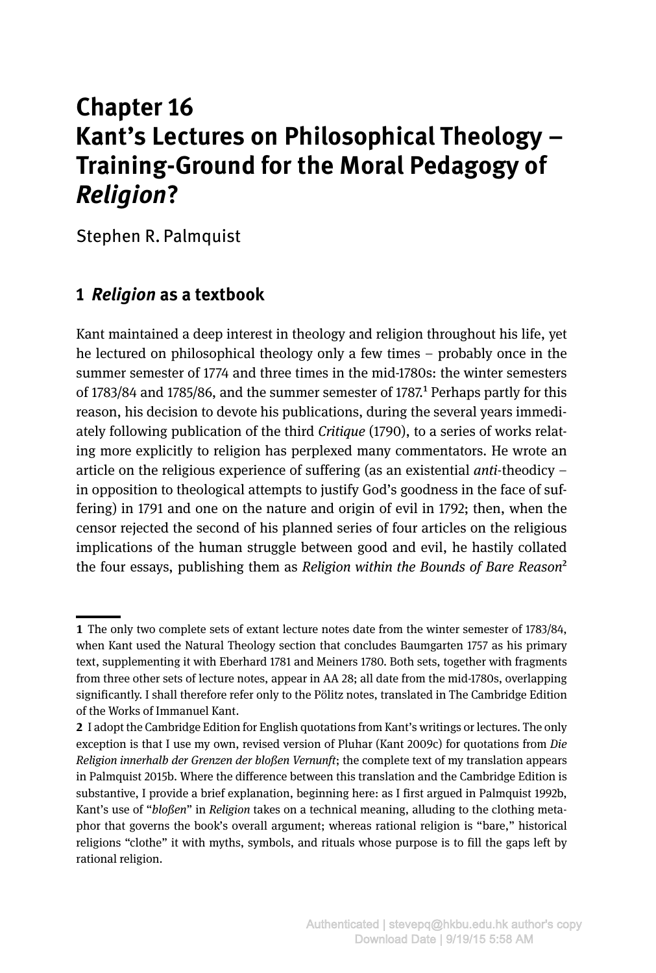# **Chapter 16 Kant's Lectures on Philosophical Theology – Training-Ground for the Moral Pedagogy of**  *Religion***?**

Stephen R. Palmquist

### **1** *Religion* **as a textbook**

Kant maintained a deep interest in theology and religion throughout his life, yet he lectured on philosophical theology only a few times – probably once in the summer semester of 1774 and three times in the mid-1780s: the winter semesters of  $1783/84$  and  $1785/86$ , and the summer semester of  $1787<sup>1</sup>$  Perhaps partly for this reason, his decision to devote his publications, during the several years immediately following publication of the third *Critique* (1790), to a series of works relating more explicitly to religion has perplexed many commentators. He wrote an article on the religious experience of suffering (as an existential *anti*-theodicy – in opposition to theological attempts to justify God's goodness in the face of suffering) in 1791 and one on the nature and origin of evil in 1792; then, when the censor rejected the second of his planned series of four articles on the religious implications of the human struggle between good and evil, he hastily collated the four essays, publishing them as *Religion within the Bounds of Bare Reason*2

**<sup>1</sup>** The only two complete sets of extant lecture notes date from the winter semester of 1783/84, when Kant used the Natural Theology section that concludes Baumgarten 1757 as his primary text, supplementing it with Eberhard 1781 and Meiners 1780. Both sets, together with fragments from three other sets of lecture notes, appear in AA 28; all date from the mid-1780s, overlapping significantly. I shall therefore refer only to the Pölitz notes, translated in The Cambridge Edition of the Works of Immanuel Kant.

**<sup>2</sup>** I adopt the Cambridge Edition for English quotations from Kant's writings or lectures. The only exception is that I use my own, revised version of Pluhar (Kant 2009c) for quotations from *Die Religion innerhalb der Grenzen der bloßen Vernunft*; the complete text of my translation appears in Palmquist 2015b. Where the difference between this translation and the Cambridge Edition is substantive, I provide a brief explanation, beginning here: as I first argued in Palmquist 1992b, Kant's use of "*bloßen*" in *Religion* takes on a technical meaning, alluding to the clothing metaphor that governs the book's overall argument; whereas rational religion is "bare," historical religions "clothe" it with myths, symbols, and rituals whose purpose is to fill the gaps left by rational religion.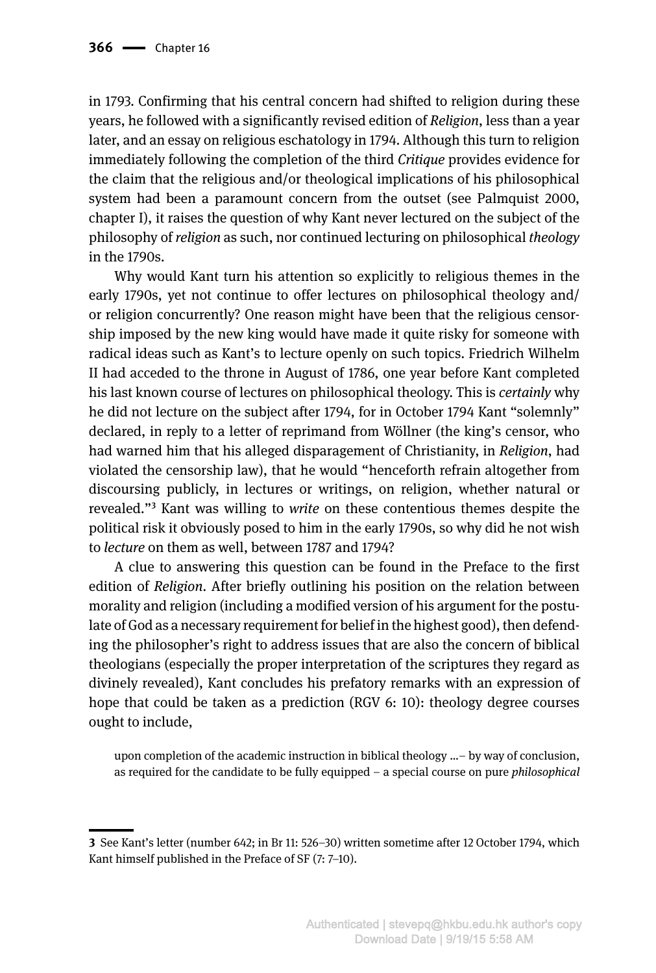in 1793. Confirming that his central concern had shifted to religion during these years, he followed with a significantly revised edition of *Religion*, less than a year later, and an essay on religious eschatology in 1794. Although this turn to religion immediately following the completion of the third *Critique* provides evidence for the claim that the religious and/or theological implications of his philosophical system had been a paramount concern from the outset (see Palmquist 2000, chapter I), it raises the question of why Kant never lectured on the subject of the philosophy of *religion* as such, nor continued lecturing on philosophical *theology*  in the 1790s.

Why would Kant turn his attention so explicitly to religious themes in the early 1790s, yet not continue to offer lectures on philosophical theology and/ or religion concurrently? One reason might have been that the religious censorship imposed by the new king would have made it quite risky for someone with radical ideas such as Kant's to lecture openly on such topics. Friedrich Wilhelm II had acceded to the throne in August of 1786, one year before Kant completed his last known course of lectures on philosophical theology. This is *certainly* why he did not lecture on the subject after 1794, for in October 1794 Kant "solemnly" declared, in reply to a letter of reprimand from Wöllner (the king's censor, who had warned him that his alleged disparagement of Christianity, in *Religion*, had violated the censorship law), that he would "henceforth refrain altogether from discoursing publicly, in lectures or writings, on religion, whether natural or revealed."3 Kant was willing to *write* on these contentious themes despite the political risk it obviously posed to him in the early 1790s, so why did he not wish to *lecture* on them as well, between 1787 and 1794?

A clue to answering this question can be found in the Preface to the first edition of *Religion*. After briefly outlining his position on the relation between morality and religion (including a modified version of his argument for the postulate of God as a necessary requirement for belief in the highest good), then defending the philosopher's right to address issues that are also the concern of biblical theologians (especially the proper interpretation of the scriptures they regard as divinely revealed), Kant concludes his prefatory remarks with an expression of hope that could be taken as a prediction (RGV 6: 10): theology degree courses ought to include,

upon completion of the academic instruction in biblical theology …– by way of conclusion, as required for the candidate to be fully equipped – a special course on pure *philosophical*

**<sup>3</sup>** See Kant's letter (number 642; in Br 11: 526–30) written sometime after 12 October 1794, which Kant himself published in the Preface of SF (7: 7–10).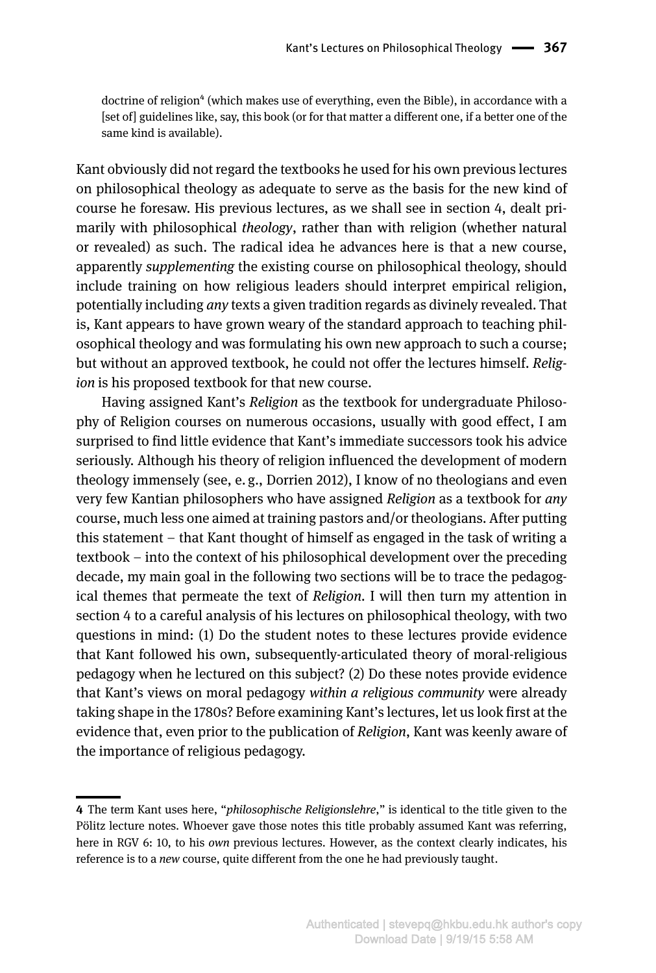doctrine of religion<sup>4</sup> (which makes use of everything, even the Bible), in accordance with a [set of] guidelines like, say, this book (or for that matter a different one, if a better one of the same kind is available).

Kant obviously did not regard the textbooks he used for his own previous lectures on philosophical theology as adequate to serve as the basis for the new kind of course he foresaw. His previous lectures, as we shall see in section 4, dealt primarily with philosophical *theology*, rather than with religion (whether natural or revealed) as such. The radical idea he advances here is that a new course, apparently *supplementing* the existing course on philosophical theology, should include training on how religious leaders should interpret empirical religion, potentially including *any* texts a given tradition regards as divinely revealed. That is, Kant appears to have grown weary of the standard approach to teaching philosophical theology and was formulating his own new approach to such a course; but without an approved textbook, he could not offer the lectures himself. *Religion* is his proposed textbook for that new course.

Having assigned Kant's *Religion* as the textbook for undergraduate Philosophy of Religion courses on numerous occasions, usually with good effect, I am surprised to find little evidence that Kant's immediate successors took his advice seriously. Although his theory of religion influenced the development of modern theology immensely (see, e.g., Dorrien 2012), I know of no theologians and even very few Kantian philosophers who have assigned *Religion* as a textbook for *any*  course, much less one aimed at training pastors and/or theologians. After putting this statement – that Kant thought of himself as engaged in the task of writing a textbook – into the context of his philosophical development over the preceding decade, my main goal in the following two sections will be to trace the pedagogical themes that permeate the text of *Religion*. I will then turn my attention in section 4 to a careful analysis of his lectures on philosophical theology, with two questions in mind: (1) Do the student notes to these lectures provide evidence that Kant followed his own, subsequently-articulated theory of moral-religious pedagogy when he lectured on this subject? (2) Do these notes provide evidence that Kant's views on moral pedagogy *within a religious community* were already taking shape in the 1780s? Before examining Kant's lectures, let us look first at the evidence that, even prior to the publication of *Religion*, Kant was keenly aware of the importance of religious pedagogy.

**<sup>4</sup>** The term Kant uses here, "*philosophische Religionslehre*," is identical to the title given to the Pölitz lecture notes. Whoever gave those notes this title probably assumed Kant was referring, here in RGV 6: 10, to his *own* previous lectures. However, as the context clearly indicates, his reference is to a *new* course, quite different from the one he had previously taught.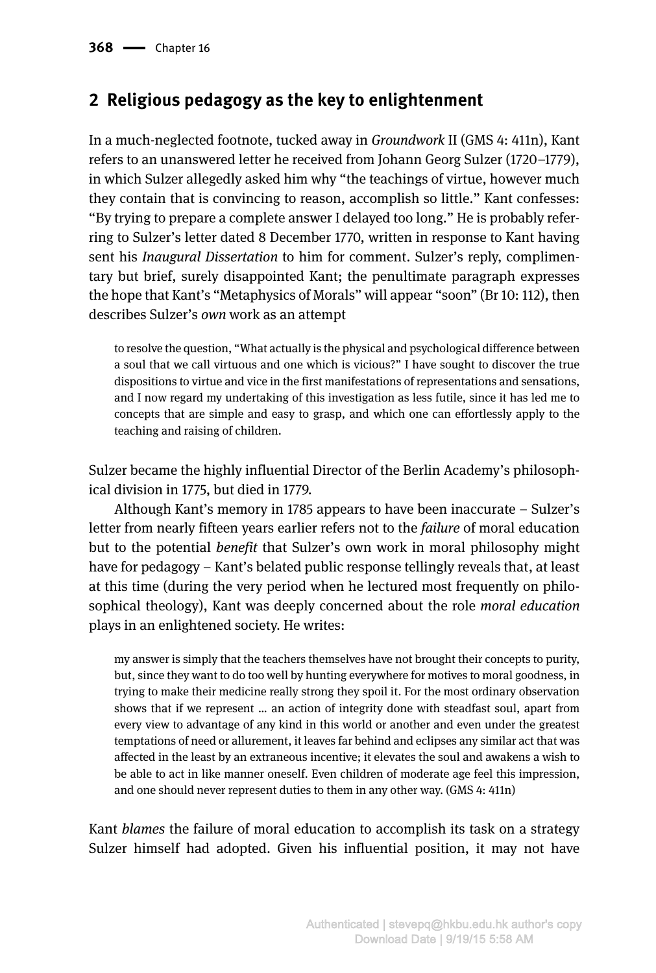### **2 Religious pedagogy as the key to enlightenment**

In a much-neglected footnote, tucked away in *Groundwork* II (GMS 4: 411n), Kant refers to an unanswered letter he received from Johann Georg Sulzer (1720–1779), in which Sulzer allegedly asked him why "the teachings of virtue, however much they contain that is convincing to reason, accomplish so little." Kant confesses: "By trying to prepare a complete answer I delayed too long." He is probably referring to Sulzer's letter dated 8 December 1770, written in response to Kant having sent his *Inaugural Dissertation* to him for comment. Sulzer's reply, complimentary but brief, surely disappointed Kant; the penultimate paragraph expresses the hope that Kant's "Metaphysics of Morals" will appear "soon" (Br 10: 112), then describes Sulzer's *own* work as an attempt

to resolve the question, "What actually is the physical and psychological difference between a soul that we call virtuous and one which is vicious?" I have sought to discover the true dispositions to virtue and vice in the first manifestations of representations and sensations, and I now regard my undertaking of this investigation as less futile, since it has led me to concepts that are simple and easy to grasp, and which one can effortlessly apply to the teaching and raising of children.

Sulzer became the highly influential Director of the Berlin Academy's philosophical division in 1775, but died in 1779.

Although Kant's memory in 1785 appears to have been inaccurate – Sulzer's letter from nearly fifteen years earlier refers not to the *failure* of moral education but to the potential *benefit* that Sulzer's own work in moral philosophy might have for pedagogy – Kant's belated public response tellingly reveals that, at least at this time (during the very period when he lectured most frequently on philosophical theology), Kant was deeply concerned about the role *moral education* plays in an enlightened society. He writes:

my answer is simply that the teachers themselves have not brought their concepts to purity, but, since they want to do too well by hunting everywhere for motives to moral goodness, in trying to make their medicine really strong they spoil it. For the most ordinary observation shows that if we represent … an action of integrity done with steadfast soul, apart from every view to advantage of any kind in this world or another and even under the greatest temptations of need or allurement, it leaves far behind and eclipses any similar act that was affected in the least by an extraneous incentive; it elevates the soul and awakens a wish to be able to act in like manner oneself. Even children of moderate age feel this impression, and one should never represent duties to them in any other way. (GMS 4: 411n)

Kant *blames* the failure of moral education to accomplish its task on a strategy Sulzer himself had adopted. Given his influential position, it may not have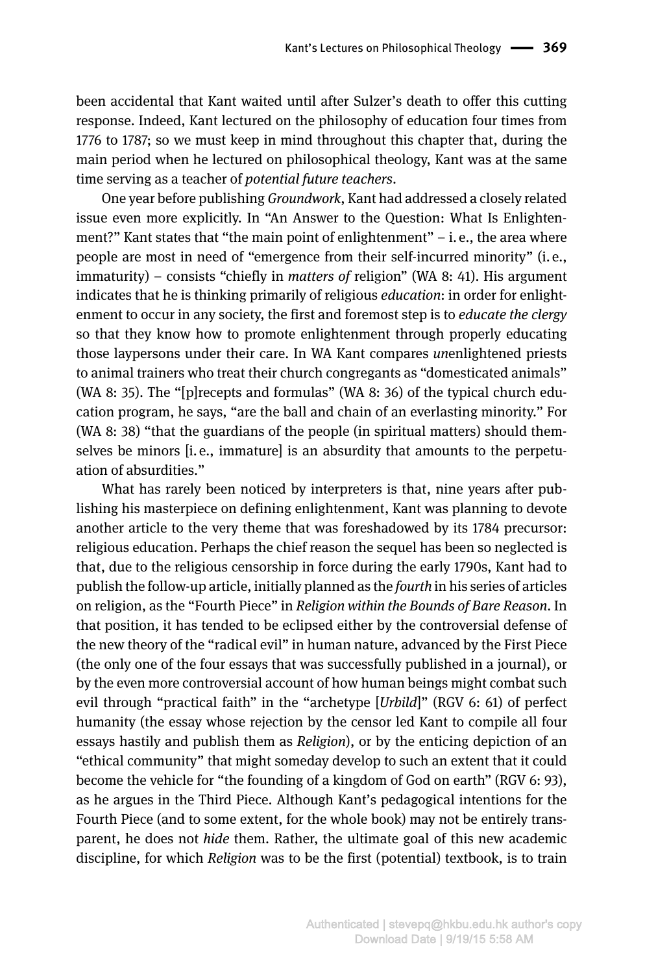been accidental that Kant waited until after Sulzer's death to offer this cutting response. Indeed, Kant lectured on the philosophy of education four times from 1776 to 1787; so we must keep in mind throughout this chapter that, during the main period when he lectured on philosophical theology, Kant was at the same time serving as a teacher of *potential future teachers*.

One year before publishing *Groundwork*, Kant had addressed a closely related issue even more explicitly. In "An Answer to the Question: What Is Enlightenment?" Kant states that "the main point of enlightenment"  $-$  i.e., the area where people are most in need of "emergence from their self-incurred minority" (i.e., immaturity) – consists "chiefly in *matters of* religion" (WA 8: 41). His argument indicates that he is thinking primarily of religious *education*: in order for enlightenment to occur in any society, the first and foremost step is to *educate the clergy* so that they know how to promote enlightenment through properly educating those laypersons under their care. In WA Kant compares *un*enlightened priests to animal trainers who treat their church congregants as "domesticated animals" (WA 8: 35). The "[p]recepts and formulas" (WA 8: 36) of the typical church education program, he says, "are the ball and chain of an everlasting minority." For (WA 8: 38) "that the guardians of the people (in spiritual matters) should themselves be minors [i.e., immature] is an absurdity that amounts to the perpetuation of absurdities."

What has rarely been noticed by interpreters is that, nine years after publishing his masterpiece on defining enlightenment, Kant was planning to devote another article to the very theme that was foreshadowed by its 1784 precursor: religious education. Perhaps the chief reason the sequel has been so neglected is that, due to the religious censorship in force during the early 1790s, Kant had to publish the follow-up article, initially planned as the *fourth* in his series of articles on religion, as the "Fourth Piece" in *Religion within the Bounds of Bare Reason*. In that position, it has tended to be eclipsed either by the controversial defense of the new theory of the "radical evil" in human nature, advanced by the First Piece (the only one of the four essays that was successfully published in a journal), or by the even more controversial account of how human beings might combat such evil through "practical faith" in the "archetype [*Urbild*]" (RGV 6: 61) of perfect humanity (the essay whose rejection by the censor led Kant to compile all four essays hastily and publish them as *Religion*), or by the enticing depiction of an "ethical community" that might someday develop to such an extent that it could become the vehicle for "the founding of a kingdom of God on earth" (RGV 6: 93), as he argues in the Third Piece. Although Kant's pedagogical intentions for the Fourth Piece (and to some extent, for the whole book) may not be entirely transparent, he does not *hide* them. Rather, the ultimate goal of this new academic discipline, for which *Religion* was to be the first (potential) textbook, is to train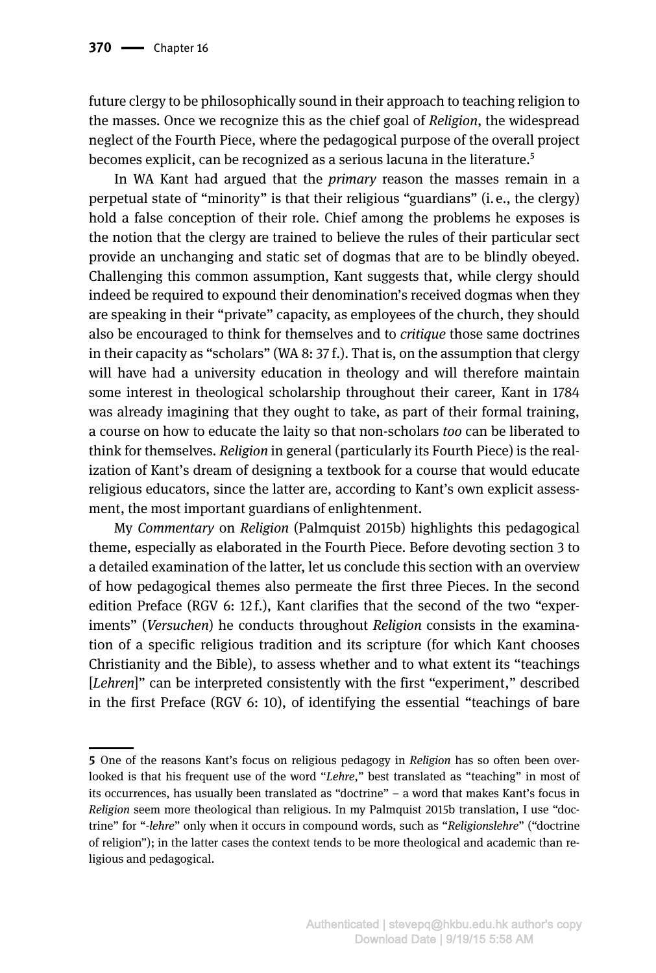future clergy to be philosophically sound in their approach to teaching religion to the masses. Once we recognize this as the chief goal of *Religion*, the widespread neglect of the Fourth Piece, where the pedagogical purpose of the overall project becomes explicit, can be recognized as a serious lacuna in the literature.<sup>5</sup>

In WA Kant had argued that the *primary* reason the masses remain in a perpetual state of "minority" is that their religious "guardians" (i. e., the clergy) hold a false conception of their role. Chief among the problems he exposes is the notion that the clergy are trained to believe the rules of their particular sect provide an unchanging and static set of dogmas that are to be blindly obeyed. Challenging this common assumption, Kant suggests that, while clergy should indeed be required to expound their denomination's received dogmas when they are speaking in their "private" capacity, as employees of the church, they should also be encouraged to think for themselves and to *critique* those same doctrines in their capacity as "scholars" (WA 8: 37 f.). That is, on the assumption that clergy will have had a university education in theology and will therefore maintain some interest in theological scholarship throughout their career, Kant in 1784 was already imagining that they ought to take, as part of their formal training, a course on how to educate the laity so that non-scholars *too* can be liberated to think for themselves. *Religion* in general (particularly its Fourth Piece) is the realization of Kant's dream of designing a textbook for a course that would educate religious educators, since the latter are, according to Kant's own explicit assessment, the most important guardians of enlightenment.

My *Commentary* on *Religion* (Palmquist 2015b) highlights this pedagogical theme, especially as elaborated in the Fourth Piece. Before devoting section 3 to a detailed examination of the latter, let us conclude this section with an overview of how pedagogical themes also permeate the first three Pieces. In the second edition Preface (RGV 6: 12 f.), Kant clarifies that the second of the two "experiments" (*Versuchen*) he conducts throughout *Religion* consists in the examination of a specific religious tradition and its scripture (for which Kant chooses Christianity and the Bible), to assess whether and to what extent its "teachings [*Lehren*]" can be interpreted consistently with the first "experiment," described in the first Preface (RGV 6: 10), of identifying the essential "teachings of bare

**<sup>5</sup>** One of the reasons Kant's focus on religious pedagogy in *Religion* has so often been overlooked is that his frequent use of the word "*Lehre*," best translated as "teaching" in most of its occurrences, has usually been translated as "doctrine" – a word that makes Kant's focus in *Religion* seem more theological than religious. In my Palmquist 2015b translation, I use "doctrine" for "-*lehre*" only when it occurs in compound words, such as "*Religionslehre*" ("doctrine of religion"); in the latter cases the context tends to be more theological and academic than religious and pedagogical.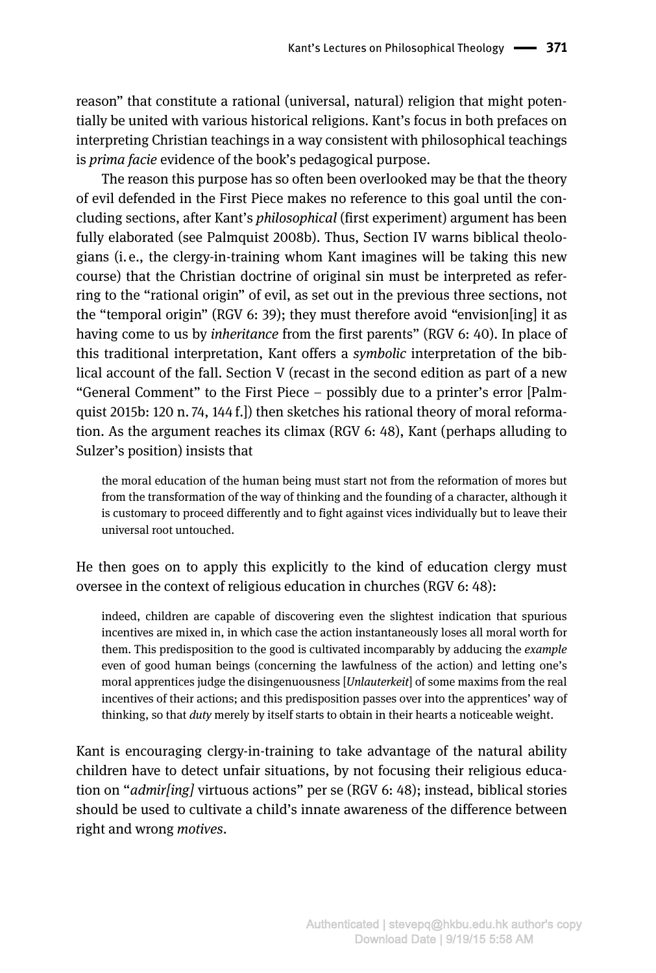reason" that constitute a rational (universal, natural) religion that might potentially be united with various historical religions. Kant's focus in both prefaces on interpreting Christian teachings in a way consistent with philosophical teachings is *prima facie* evidence of the book's pedagogical purpose.

The reason this purpose has so often been overlooked may be that the theory of evil defended in the First Piece makes no reference to this goal until the concluding sections, after Kant's *philosophical* (first experiment) argument has been fully elaborated (see Palmquist 2008b). Thus, Section IV warns biblical theologians (i. e., the clergy-in-training whom Kant imagines will be taking this new course) that the Christian doctrine of original sin must be interpreted as referring to the "rational origin" of evil, as set out in the previous three sections, not the "temporal origin" (RGV 6: 39); they must therefore avoid "envision[ing] it as having come to us by *inheritance* from the first parents" (RGV 6: 40). In place of this traditional interpretation, Kant offers a *symbolic* interpretation of the biblical account of the fall. Section V (recast in the second edition as part of a new "General Comment" to the First Piece – possibly due to a printer's error [Palmquist 2015b: 120 n. 74, 144 f.]) then sketches his rational theory of moral reformation. As the argument reaches its climax (RGV 6: 48), Kant (perhaps alluding to Sulzer's position) insists that

the moral education of the human being must start not from the reformation of mores but from the transformation of the way of thinking and the founding of a character, although it is customary to proceed differently and to fight against vices individually but to leave their universal root untouched.

He then goes on to apply this explicitly to the kind of education clergy must oversee in the context of religious education in churches (RGV 6: 48):

indeed, children are capable of discovering even the slightest indication that spurious incentives are mixed in, in which case the action instantaneously loses all moral worth for them. This predisposition to the good is cultivated incomparably by adducing the *example* even of good human beings (concerning the lawfulness of the action) and letting one's moral apprentices judge the disingenuousness [*Unlauterkeit*] of some maxims from the real incentives of their actions; and this predisposition passes over into the apprentices' way of thinking, so that *duty* merely by itself starts to obtain in their hearts a noticeable weight.

Kant is encouraging clergy-in-training to take advantage of the natural ability children have to detect unfair situations, by not focusing their religious education on "*admir[ing]* virtuous actions" per se (RGV 6: 48); instead, biblical stories should be used to cultivate a child's innate awareness of the difference between right and wrong *motives*.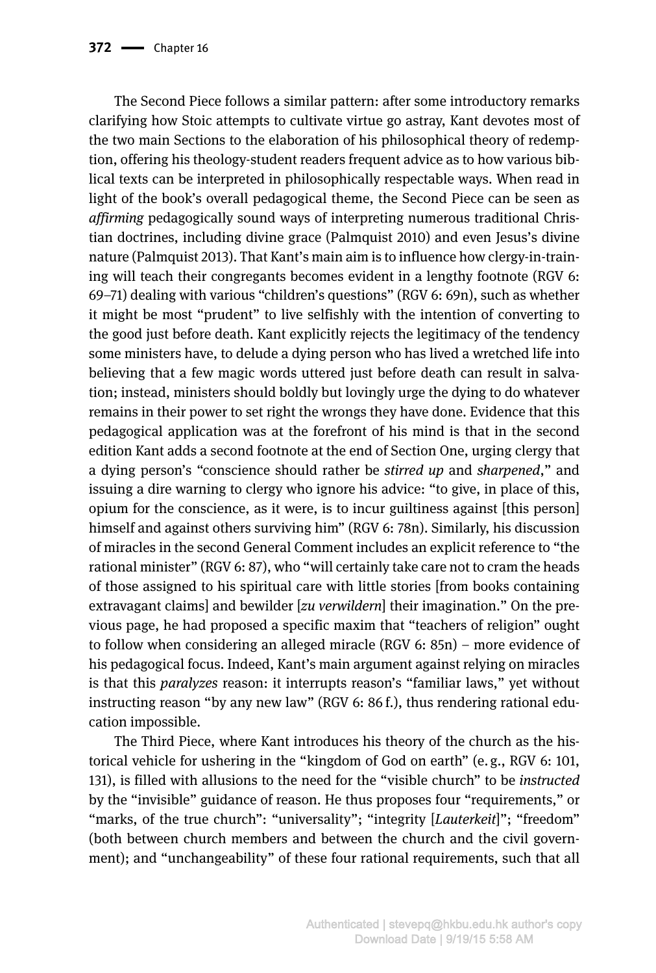The Second Piece follows a similar pattern: after some introductory remarks clarifying how Stoic attempts to cultivate virtue go astray, Kant devotes most of the two main Sections to the elaboration of his philosophical theory of redemption, offering his theology-student readers frequent advice as to how various biblical texts can be interpreted in philosophically respectable ways. When read in light of the book's overall pedagogical theme, the Second Piece can be seen as *affirming* pedagogically sound ways of interpreting numerous traditional Christian doctrines, including divine grace (Palmquist 2010) and even Jesus's divine nature (Palmquist 2013). That Kant's main aim is to influence how clergy-in-training will teach their congregants becomes evident in a lengthy footnote (RGV 6: 69–71) dealing with various "children's questions" (RGV 6: 69n), such as whether it might be most "prudent" to live selfishly with the intention of converting to the good just before death. Kant explicitly rejects the legitimacy of the tendency some ministers have, to delude a dying person who has lived a wretched life into believing that a few magic words uttered just before death can result in salvation; instead, ministers should boldly but lovingly urge the dying to do whatever remains in their power to set right the wrongs they have done. Evidence that this pedagogical application was at the forefront of his mind is that in the second edition Kant adds a second footnote at the end of Section One, urging clergy that a dying person's "conscience should rather be *stirred up* and *sharpened*," and issuing a dire warning to clergy who ignore his advice: "to give, in place of this, opium for the conscience, as it were, is to incur guiltiness against [this person] himself and against others surviving him" (RGV 6: 78n). Similarly, his discussion of miracles in the second General Comment includes an explicit reference to "the rational minister" (RGV 6: 87), who "will certainly take care not to cram the heads of those assigned to his spiritual care with little stories [from books containing extravagant claims] and bewilder [*zu verwildern*] their imagination." On the previous page, he had proposed a specific maxim that "teachers of religion" ought to follow when considering an alleged miracle (RGV 6: 85n) – more evidence of his pedagogical focus. Indeed, Kant's main argument against relying on miracles is that this *paralyzes* reason: it interrupts reason's "familiar laws," yet without instructing reason "by any new law" (RGV 6: 86 f.), thus rendering rational education impossible.

The Third Piece, where Kant introduces his theory of the church as the historical vehicle for ushering in the "kingdom of God on earth" (e.g., RGV 6: 101, 131), is filled with allusions to the need for the "visible church" to be *instructed* by the "invisible" guidance of reason. He thus proposes four "requirements," or "marks, of the true church": "universality"; "integrity [*Lauterkeit*]"; "freedom" (both between church members and between the church and the civil government); and "unchangeability" of these four rational requirements, such that all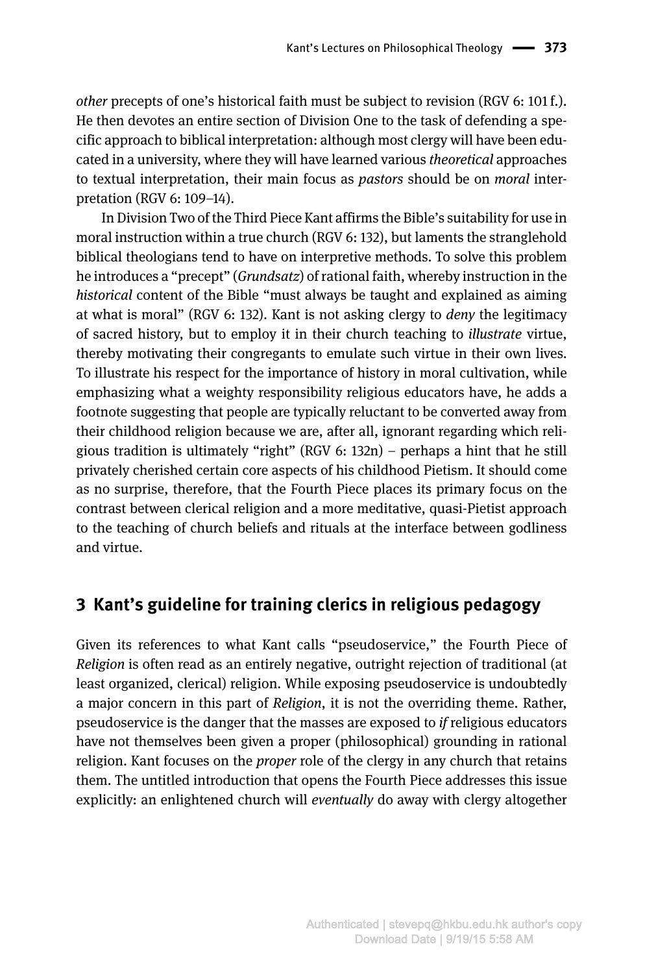*other* precepts of one's historical faith must be subject to revision (RGV 6: 101 f.). He then devotes an entire section of Division One to the task of defending a specific approach to biblical interpretation: although most clergy will have been educated in a university, where they will have learned various *theoretical* approaches to textual interpretation, their main focus as *pastors* should be on *moral* interpretation (RGV 6: 109–14).

In Division Two of the Third Piece Kant affirms the Bible's suitability for use in moral instruction within a true church (RGV 6: 132), but laments the stranglehold biblical theologians tend to have on interpretive methods. To solve this problem he introduces a "precept" (*Grundsatz*) of rational faith, whereby instruction in the *historical* content of the Bible "must always be taught and explained as aiming at what is moral" (RGV 6: 132). Kant is not asking clergy to *deny* the legitimacy of sacred history, but to employ it in their church teaching to *illustrate* virtue, thereby motivating their congregants to emulate such virtue in their own lives. To illustrate his respect for the importance of history in moral cultivation, while emphasizing what a weighty responsibility religious educators have, he adds a footnote suggesting that people are typically reluctant to be converted away from their childhood religion because we are, after all, ignorant regarding which religious tradition is ultimately "right" (RGV 6: 132n) – perhaps a hint that he still privately cherished certain core aspects of his childhood Pietism. It should come as no surprise, therefore, that the Fourth Piece places its primary focus on the contrast between clerical religion and a more meditative, quasi-Pietist approach to the teaching of church beliefs and rituals at the interface between godliness and virtue.

#### **3 Kant's guideline for training clerics in religious pedagogy**

Given its references to what Kant calls "pseudoservice," the Fourth Piece of *Religion* is often read as an entirely negative, outright rejection of traditional (at least organized, clerical) religion. While exposing pseudoservice is undoubtedly a major concern in this part of *Religion*, it is not the overriding theme. Rather, pseudoservice is the danger that the masses are exposed to *if* religious educators have not themselves been given a proper (philosophical) grounding in rational religion. Kant focuses on the *proper* role of the clergy in any church that retains them. The untitled introduction that opens the Fourth Piece addresses this issue explicitly: an enlightened church will *eventually* do away with clergy altogether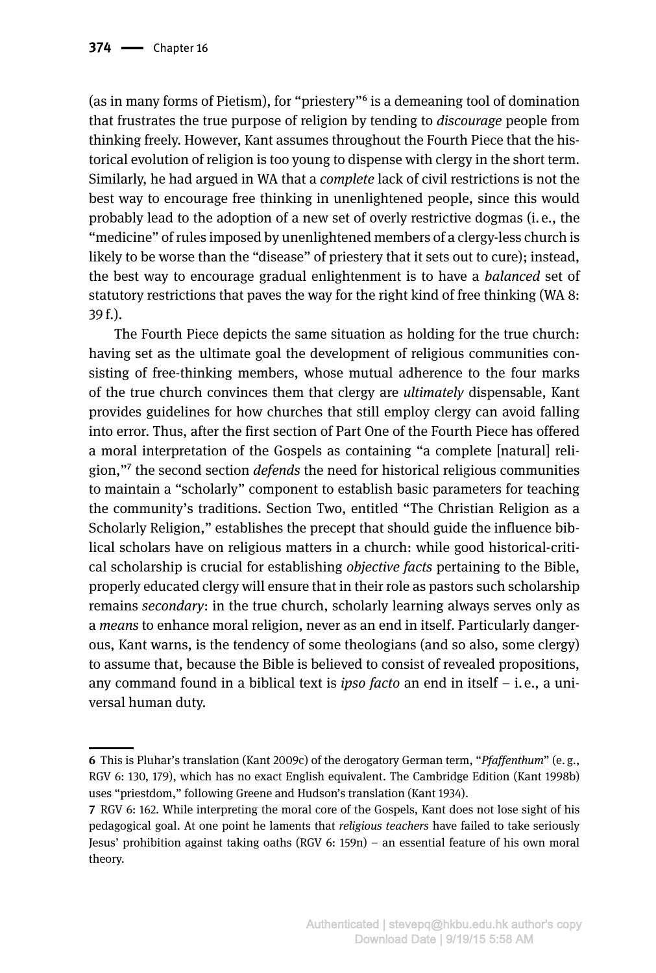(as in many forms of Pietism), for "priestery"6 is a demeaning tool of domination that frustrates the true purpose of religion by tending to *discourage* people from thinking freely. However, Kant assumes throughout the Fourth Piece that the historical evolution of religion is too young to dispense with clergy in the short term. Similarly, he had argued in WA that a *complete* lack of civil restrictions is not the best way to encourage free thinking in unenlightened people, since this would probably lead to the adoption of a new set of overly restrictive dogmas (i. e., the "medicine" of rules imposed by unenlightened members of a clergy-less church is likely to be worse than the "disease" of priestery that it sets out to cure); instead, the best way to encourage gradual enlightenment is to have a *balanced* set of statutory restrictions that paves the way for the right kind of free thinking (WA 8: 39 f.).

The Fourth Piece depicts the same situation as holding for the true church: having set as the ultimate goal the development of religious communities consisting of free-thinking members, whose mutual adherence to the four marks of the true church convinces them that clergy are *ultimately* dispensable, Kant provides guidelines for how churches that still employ clergy can avoid falling into error. Thus, after the first section of Part One of the Fourth Piece has offered a moral interpretation of the Gospels as containing "a complete [natural] religion,"7 the second section *defends* the need for historical religious communities to maintain a "scholarly" component to establish basic parameters for teaching the community's traditions. Section Two, entitled "The Christian Religion as a Scholarly Religion," establishes the precept that should guide the influence biblical scholars have on religious matters in a church: while good historical-critical scholarship is crucial for establishing *objective facts* pertaining to the Bible, properly educated clergy will ensure that in their role as pastors such scholarship remains *secondary*: in the true church, scholarly learning always serves only as a *means* to enhance moral religion, never as an end in itself. Particularly dangerous, Kant warns, is the tendency of some theologians (and so also, some clergy) to assume that, because the Bible is believed to consist of revealed propositions, any command found in a biblical text is *ipso facto* an end in itself – i.e., a universal human duty.

**<sup>6</sup>** This is Pluhar's translation (Kant 2009c) of the derogatory German term, "*Pfaffenthum*" (e. g., RGV 6: 130, 179), which has no exact English equivalent. The Cambridge Edition (Kant 1998b) uses "priestdom," following Greene and Hudson's translation (Kant 1934).

**<sup>7</sup>** RGV 6: 162. While interpreting the moral core of the Gospels, Kant does not lose sight of his pedagogical goal. At one point he laments that *religious teachers* have failed to take seriously Jesus' prohibition against taking oaths (RGV 6: 159n) – an essential feature of his own moral theory.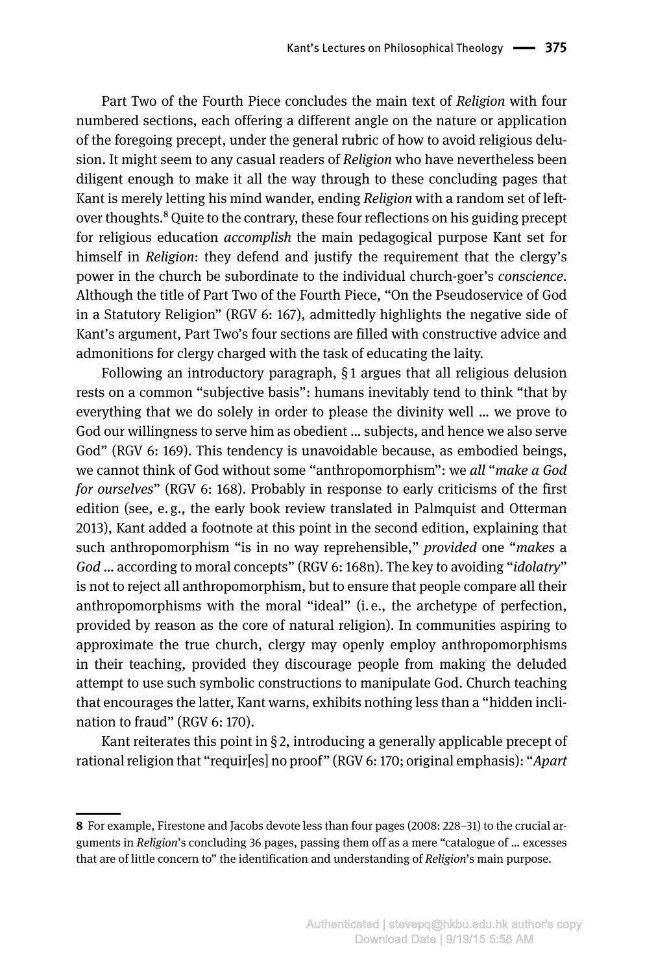Part Two of the Fourth Piece concludes the main text of *Religion* with four numbered sections, each offering a different angle on the nature or application of the foregoing precept, under the general rubric of how to avoid religious delusion. It might seem to any casual readers of *Religion* who have nevertheless been diligent enough to make it all the way through to these concluding pages that Kant is merely letting his mind wander, ending *Religion* with a random set of leftover thoughts.8 Quite to the contrary, these four reflections on his guiding precept for religious education *accomplish* the main pedagogical purpose Kant set for himself in *Religion*: they defend and justify the requirement that the clergy's power in the church be subordinate to the individual church-goer's *conscience*. Although the title of Part Two of the Fourth Piece, "On the Pseudoservice of God in a Statutory Religion" (RGV 6: 167), admittedly highlights the negative side of Kant's argument, Part Two's four sections are filled with constructive advice and admonitions for clergy charged with the task of educating the laity.

Following an introductory paragraph, § 1 argues that all religious delusion rests on a common "subjective basis": humans inevitably tend to think "that by everything that we do solely in order to please the divinity well … we prove to God our willingness to serve him as obedient … subjects, and hence we also serve God" (RGV 6: 169). This tendency is unavoidable because, as embodied beings, we cannot think of God without some "anthropomorphism": we *all* "*make a God for ourselves*" (RGV 6: 168). Probably in response to early criticisms of the first edition (see, e. g., the early book review translated in Palmquist and Otterman 2013), Kant added a footnote at this point in the second edition, explaining that such anthropomorphism "is in no way reprehensible," *provided* one "*makes* a *God* … according to moral concepts" (RGV 6: 168n). The key to avoiding "*idolatry*" is not to reject all anthropomorphism, but to ensure that people compare all their anthropomorphisms with the moral "ideal" (i.e., the archetype of perfection, provided by reason as the core of natural religion). In communities aspiring to approximate the true church, clergy may openly employ anthropomorphisms in their teaching, provided they discourage people from making the deluded attempt to use such symbolic constructions to manipulate God. Church teaching that encourages the latter, Kant warns, exhibits nothing less than a "hidden inclination to fraud" (RGV 6: 170).

Kant reiterates this point in §2, introducing a generally applicable precept of rational religion that "requir[es] no proof" (RGV 6: 170; original emphasis): "*Apart* 

**<sup>8</sup>** For example, Firestone and Jacobs devote less than four pages (2008: 228–31) to the crucial arguments in *Religion*'s concluding 36 pages, passing them off as a mere "catalogue of … excesses that are of little concern to" the identification and understanding of *Religion*'s main purpose.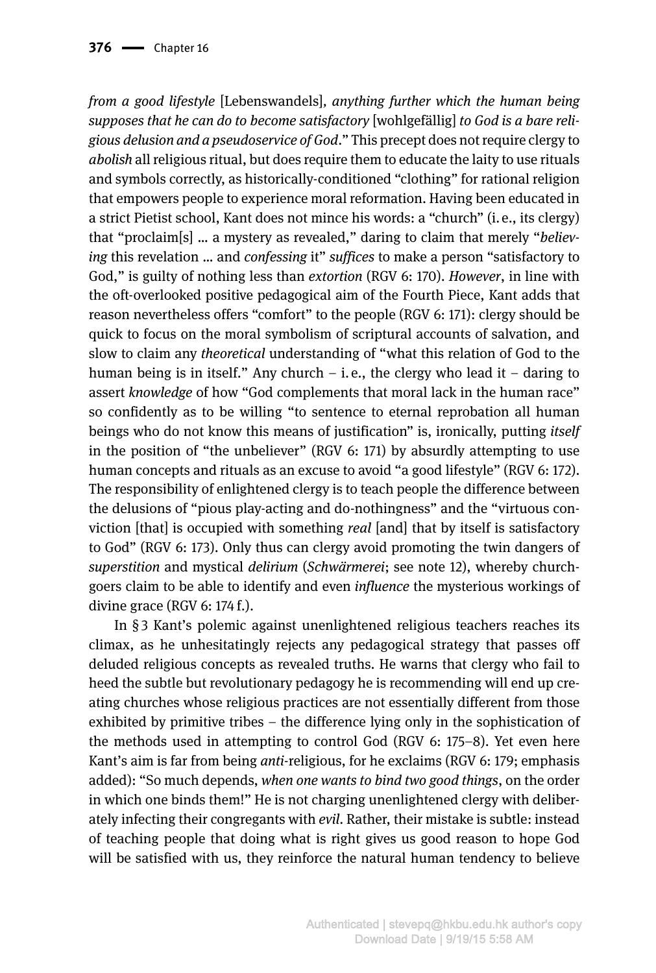*from a good lifestyle* [Lebenswandels]*, anything further which the human being supposes that he can do to become satisfactory* [wohlgefällig] *to God is a bare religious delusion and a pseudoservice of God*." This precept does not require clergy to *abolish* all religious ritual, but does require them to educate the laity to use rituals and symbols correctly, as historically-conditioned "clothing" for rational religion that empowers people to experience moral reformation. Having been educated in a strict Pietist school, Kant does not mince his words: a "church" (i.e., its clergy) that "proclaim[s] … a mystery as revealed," daring to claim that merely "*believing* this revelation … and *confessing* it" *suffices* to make a person "satisfactory to God," is guilty of nothing less than *extortion* (RGV 6: 170). *However*, in line with the oft-overlooked positive pedagogical aim of the Fourth Piece, Kant adds that reason nevertheless offers "comfort" to the people (RGV 6: 171): clergy should be quick to focus on the moral symbolism of scriptural accounts of salvation, and slow to claim any *theoretical* understanding of "what this relation of God to the human being is in itself." Any church  $-$  i.e., the clergy who lead it  $-$  daring to assert *knowledge* of how "God complements that moral lack in the human race" so confidently as to be willing "to sentence to eternal reprobation all human beings who do not know this means of justification" is, ironically, putting *itself*  in the position of "the unbeliever" (RGV 6: 171) by absurdly attempting to use human concepts and rituals as an excuse to avoid "a good lifestyle" (RGV 6: 172). The responsibility of enlightened clergy is to teach people the difference between the delusions of "pious play-acting and do-nothingness" and the "virtuous conviction [that] is occupied with something *real* [and] that by itself is satisfactory to God" (RGV 6: 173). Only thus can clergy avoid promoting the twin dangers of *superstition* and mystical *delirium* (*Schwärmerei*; see note 12), whereby churchgoers claim to be able to identify and even *influence* the mysterious workings of divine grace (RGV 6: 174 f.).

In § 3 Kant's polemic against unenlightened religious teachers reaches its climax, as he unhesitatingly rejects any pedagogical strategy that passes off deluded religious concepts as revealed truths. He warns that clergy who fail to heed the subtle but revolutionary pedagogy he is recommending will end up creating churches whose religious practices are not essentially different from those exhibited by primitive tribes – the difference lying only in the sophistication of the methods used in attempting to control God (RGV 6: 175–8). Yet even here Kant's aim is far from being *anti*-religious, for he exclaims (RGV 6: 179; emphasis added): "So much depends, *when one wants to bind two good things*, on the order in which one binds them!" He is not charging unenlightened clergy with deliberately infecting their congregants with *evil*. Rather, their mistake is subtle: instead of teaching people that doing what is right gives us good reason to hope God will be satisfied with us, they reinforce the natural human tendency to believe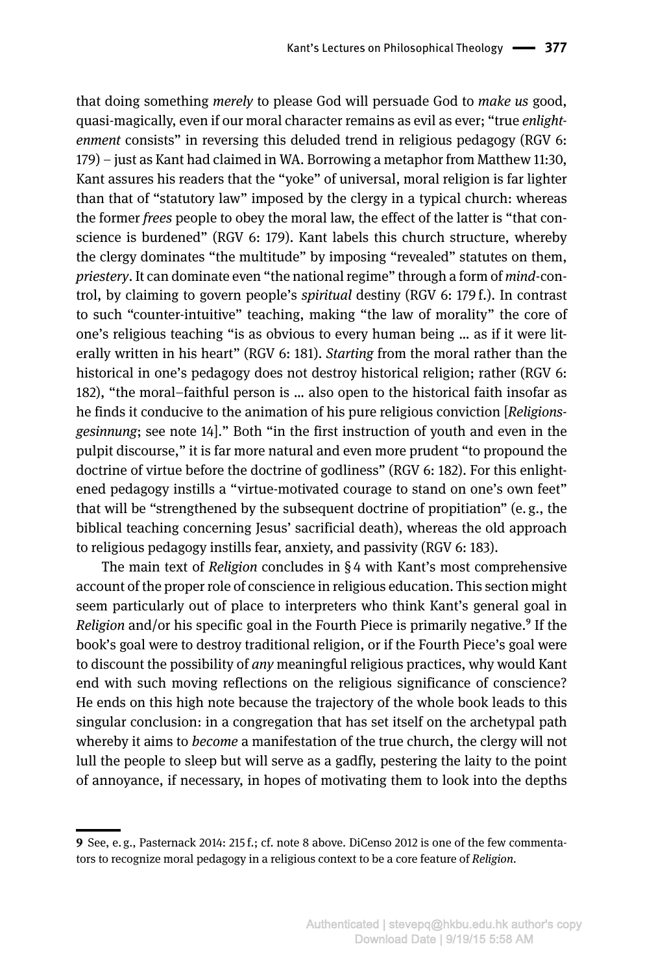that doing something *merely* to please God will persuade God to *make us* good, quasi-magically, even if our moral character remains as evil as ever; "true *enlightenment* consists" in reversing this deluded trend in religious pedagogy (RGV 6: 179) – just as Kant had claimed in WA. Borrowing a metaphor from Matthew 11:30, Kant assures his readers that the "yoke" of universal, moral religion is far lighter than that of "statutory law" imposed by the clergy in a typical church: whereas the former *frees* people to obey the moral law, the effect of the latter is "that conscience is burdened" (RGV 6: 179). Kant labels this church structure, whereby the clergy dominates "the multitude" by imposing "revealed" statutes on them, *priestery*. It can dominate even "the national regime" through a form of *mind*-control, by claiming to govern people's *spiritual* destiny (RGV 6: 179 f.). In contrast to such "counter-intuitive" teaching, making "the law of morality" the core of one's religious teaching "is as obvious to every human being … as if it were literally written in his heart" (RGV 6: 181). *Starting* from the moral rather than the historical in one's pedagogy does not destroy historical religion; rather (RGV 6: 182), "the moral–faithful person is … also open to the historical faith insofar as he finds it conducive to the animation of his pure religious conviction [*Religionsgesinnung*; see note 14]." Both "in the first instruction of youth and even in the pulpit discourse," it is far more natural and even more prudent "to propound the doctrine of virtue before the doctrine of godliness" (RGV 6: 182). For this enlightened pedagogy instills a "virtue-motivated courage to stand on one's own feet" that will be "strengthened by the subsequent doctrine of propitiation" (e.g., the biblical teaching concerning Jesus' sacrificial death), whereas the old approach to religious pedagogy instills fear, anxiety, and passivity (RGV 6: 183).

The main text of *Religion* concludes in § 4 with Kant's most comprehensive account of the proper role of conscience in religious education. This section might seem particularly out of place to interpreters who think Kant's general goal in *Religion* and/or his specific goal in the Fourth Piece is primarily negative.9 If the book's goal were to destroy traditional religion, or if the Fourth Piece's goal were to discount the possibility of *any* meaningful religious practices, why would Kant end with such moving reflections on the religious significance of conscience? He ends on this high note because the trajectory of the whole book leads to this singular conclusion: in a congregation that has set itself on the archetypal path whereby it aims to *become* a manifestation of the true church, the clergy will not lull the people to sleep but will serve as a gadfly, pestering the laity to the point of annoyance, if necessary, in hopes of motivating them to look into the depths

**<sup>9</sup>** See, e. g., Pasternack 2014: 215 f.; cf. note 8 above. DiCenso 2012 is one of the few commentators to recognize moral pedagogy in a religious context to be a core feature of *Religion*.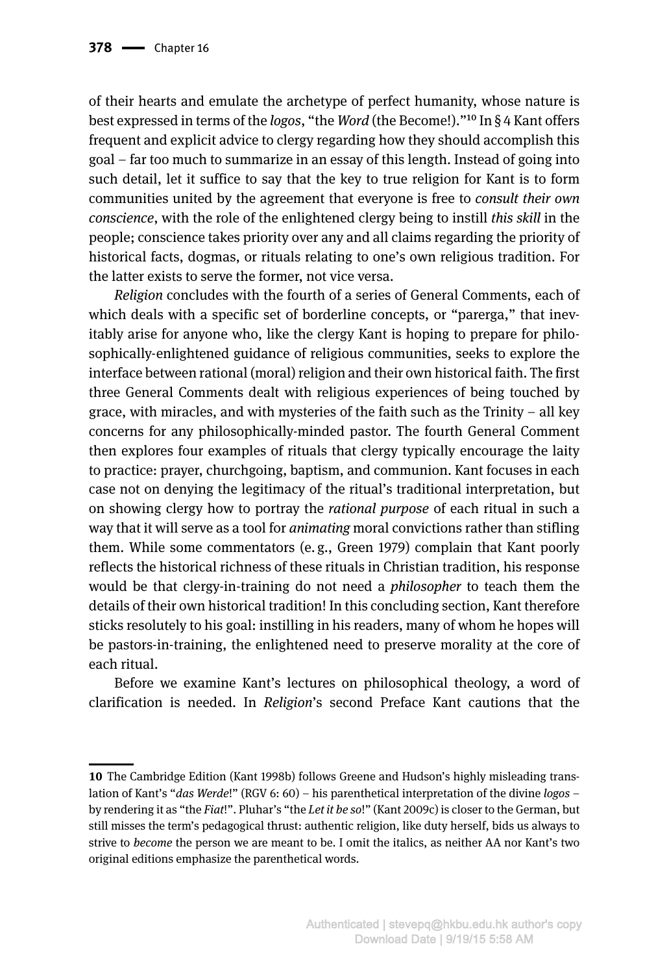of their hearts and emulate the archetype of perfect humanity, whose nature is best expressed in terms of the *logos*, "the *Word* (the Become!)."10 In § 4 Kant offers frequent and explicit advice to clergy regarding how they should accomplish this goal – far too much to summarize in an essay of this length. Instead of going into such detail, let it suffice to say that the key to true religion for Kant is to form communities united by the agreement that everyone is free to *consult their own conscience*, with the role of the enlightened clergy being to instill *this skill* in the people; conscience takes priority over any and all claims regarding the priority of historical facts, dogmas, or rituals relating to one's own religious tradition. For the latter exists to serve the former, not vice versa.

*Religion* concludes with the fourth of a series of General Comments, each of which deals with a specific set of borderline concepts, or "parerga," that inevitably arise for anyone who, like the clergy Kant is hoping to prepare for philosophically-enlightened guidance of religious communities, seeks to explore the interface between rational (moral) religion and their own historical faith. The first three General Comments dealt with religious experiences of being touched by grace, with miracles, and with mysteries of the faith such as the Trinity – all key concerns for any philosophically-minded pastor. The fourth General Comment then explores four examples of rituals that clergy typically encourage the laity to practice: prayer, churchgoing, baptism, and communion. Kant focuses in each case not on denying the legitimacy of the ritual's traditional interpretation, but on showing clergy how to portray the *rational purpose* of each ritual in such a way that it will serve as a tool for *animating* moral convictions rather than stifling them. While some commentators (e.g., Green 1979) complain that Kant poorly reflects the historical richness of these rituals in Christian tradition, his response would be that clergy-in-training do not need a *philosopher* to teach them the details of their own historical tradition! In this concluding section, Kant therefore sticks resolutely to his goal: instilling in his readers, many of whom he hopes will be pastors-in-training, the enlightened need to preserve morality at the core of each ritual.

Before we examine Kant's lectures on philosophical theology, a word of clarification is needed. In *Religion*'s second Preface Kant cautions that the

**<sup>10</sup>** The Cambridge Edition (Kant 1998b) follows Greene and Hudson's highly misleading translation of Kant's "*das Werde*!" (RGV 6: 60) – his parenthetical interpretation of the divine *logos* – by rendering it as "the *Fiat*!". Pluhar's "the *Let it be so*!" (Kant 2009c) is closer to the German, but still misses the term's pedagogical thrust: authentic religion, like duty herself, bids us always to strive to *become* the person we are meant to be. I omit the italics, as neither AA nor Kant's two original editions emphasize the parenthetical words.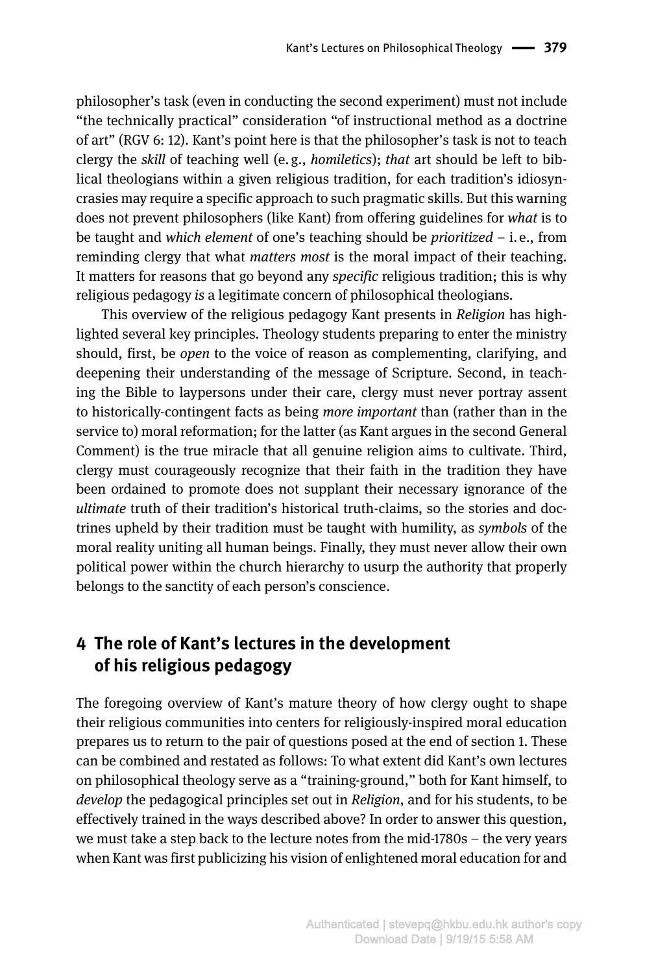philosopher's task (even in conducting the second experiment) must not include "the technically practical" consideration "of instructional method as a doctrine of art" (RGV 6: 12). Kant's point here is that the philosopher's task is not to teach clergy the *skill* of teaching well (e. g., *homiletics*); *that* art should be left to biblical theologians within a given religious tradition, for each tradition's idiosyncrasies may require a specific approach to such pragmatic skills. But this warning does not prevent philosophers (like Kant) from offering guidelines for *what* is to be taught and *which element* of one's teaching should be *prioritized* – i. e., from reminding clergy that what *matters most* is the moral impact of their teaching. It matters for reasons that go beyond any *specific* religious tradition; this is why religious pedagogy *is* a legitimate concern of philosophical theologians.

This overview of the religious pedagogy Kant presents in *Religion* has highlighted several key principles. Theology students preparing to enter the ministry should, first, be *open* to the voice of reason as complementing, clarifying, and deepening their understanding of the message of Scripture. Second, in teaching the Bible to laypersons under their care, clergy must never portray assent to historically-contingent facts as being *more important* than (rather than in the service to) moral reformation; for the latter (as Kant argues in the second General Comment) is the true miracle that all genuine religion aims to cultivate. Third, clergy must courageously recognize that their faith in the tradition they have been ordained to promote does not supplant their necessary ignorance of the *ultimate* truth of their tradition's historical truth-claims, so the stories and doctrines upheld by their tradition must be taught with humility, as *symbols* of the moral reality uniting all human beings. Finally, they must never allow their own political power within the church hierarchy to usurp the authority that properly belongs to the sanctity of each person's conscience.

## **4 The role of Kant's lectures in the development of his religious pedagogy**

The foregoing overview of Kant's mature theory of how clergy ought to shape their religious communities into centers for religiously-inspired moral education prepares us to return to the pair of questions posed at the end of section 1. These can be combined and restated as follows: To what extent did Kant's own lectures on philosophical theology serve as a "training-ground," both for Kant himself, to *develop* the pedagogical principles set out in *Religion*, and for his students, to be effectively trained in the ways described above? In order to answer this question, we must take a step back to the lecture notes from the mid-1780s – the very years when Kant was first publicizing his vision of enlightened moral education for and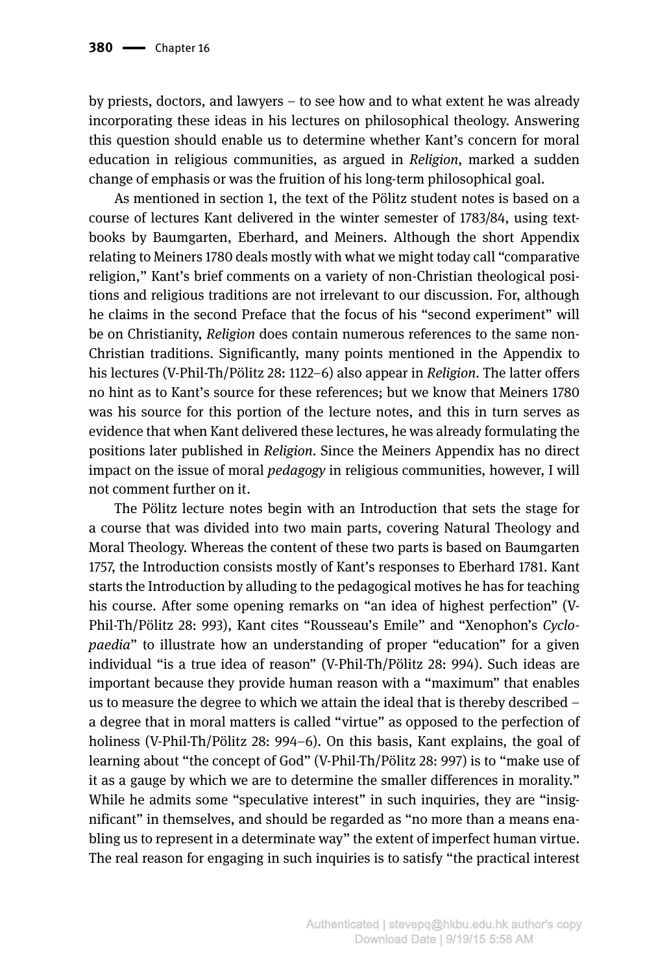by priests, doctors, and lawyers – to see how and to what extent he was already incorporating these ideas in his lectures on philosophical theology. Answering this question should enable us to determine whether Kant's concern for moral education in religious communities, as argued in *Religion*, marked a sudden change of emphasis or was the fruition of his long-term philosophical goal.

As mentioned in section 1, the text of the Pölitz student notes is based on a course of lectures Kant delivered in the winter semester of 1783/84, using textbooks by Baumgarten, Eberhard, and Meiners. Although the short Appendix relating to Meiners 1780 deals mostly with what we might today call "comparative religion," Kant's brief comments on a variety of non-Christian theological positions and religious traditions are not irrelevant to our discussion. For, although he claims in the second Preface that the focus of his "second experiment" will be on Christianity, *Religion* does contain numerous references to the same non-Christian traditions. Significantly, many points mentioned in the Appendix to his lectures (V-Phil-Th/Pölitz 28: 1122–6) also appear in *Religion*. The latter offers no hint as to Kant's source for these references; but we know that Meiners 1780 was his source for this portion of the lecture notes, and this in turn serves as evidence that when Kant delivered these lectures, he was already formulating the positions later published in *Religion*. Since the Meiners Appendix has no direct impact on the issue of moral *pedagogy* in religious communities, however, I will not comment further on it.

The Pölitz lecture notes begin with an Introduction that sets the stage for a course that was divided into two main parts, covering Natural Theology and Moral Theology. Whereas the content of these two parts is based on Baumgarten 1757, the Introduction consists mostly of Kant's responses to Eberhard 1781. Kant starts the Introduction by alluding to the pedagogical motives he has for teaching his course. After some opening remarks on "an idea of highest perfection" (V-Phil-Th/Pölitz 28: 993), Kant cites "Rousseau's Emile" and "Xenophon's *Cyclopaedia*" to illustrate how an understanding of proper "education" for a given individual "is a true idea of reason" (V-Phil-Th/Pölitz 28: 994). Such ideas are important because they provide human reason with a "maximum" that enables us to measure the degree to which we attain the ideal that is thereby described – a degree that in moral matters is called "virtue" as opposed to the perfection of holiness (V-Phil-Th/Pölitz 28: 994–6). On this basis, Kant explains, the goal of learning about "the concept of God" (V-Phil-Th/Pölitz 28: 997) is to "make use of it as a gauge by which we are to determine the smaller differences in morality." While he admits some "speculative interest" in such inquiries, they are "insignificant" in themselves, and should be regarded as "no more than a means enabling us to represent in a determinate way" the extent of imperfect human virtue. The real reason for engaging in such inquiries is to satisfy "the practical interest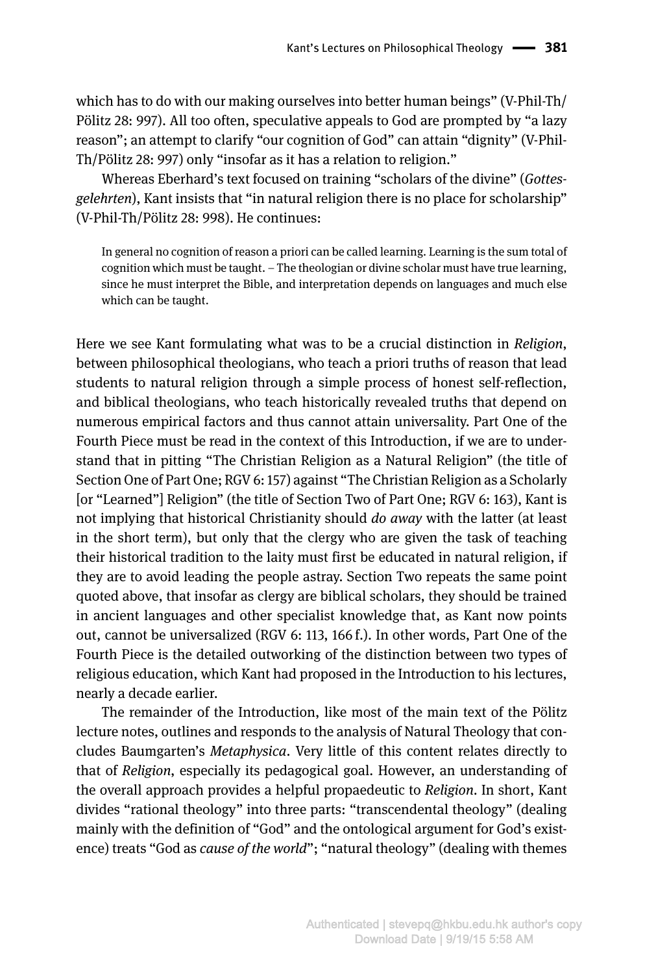which has to do with our making ourselves into better human beings" (V-Phil-Th/ Pölitz 28: 997). All too often, speculative appeals to God are prompted by "a lazy reason"; an attempt to clarify "our cognition of God" can attain "dignity" (V-Phil-Th/Pölitz 28: 997) only "insofar as it has a relation to religion."

Whereas Eberhard's text focused on training "scholars of the divine" (*Gottesgelehrten*), Kant insists that "in natural religion there is no place for scholarship" (V-Phil-Th/Pölitz 28: 998). He continues:

In general no cognition of reason a priori can be called learning. Learning is the sum total of cognition which must be taught. – The theologian or divine scholar must have true learning, since he must interpret the Bible, and interpretation depends on languages and much else which can be taught.

Here we see Kant formulating what was to be a crucial distinction in *Religion*, between philosophical theologians, who teach a priori truths of reason that lead students to natural religion through a simple process of honest self-reflection, and biblical theologians, who teach historically revealed truths that depend on numerous empirical factors and thus cannot attain universality. Part One of the Fourth Piece must be read in the context of this Introduction, if we are to understand that in pitting "The Christian Religion as a Natural Religion" (the title of Section One of Part One; RGV 6: 157) against "The Christian Religion as a Scholarly [or "Learned"] Religion" (the title of Section Two of Part One; RGV 6: 163), Kant is not implying that historical Christianity should *do away* with the latter (at least in the short term), but only that the clergy who are given the task of teaching their historical tradition to the laity must first be educated in natural religion, if they are to avoid leading the people astray. Section Two repeats the same point quoted above, that insofar as clergy are biblical scholars, they should be trained in ancient languages and other specialist knowledge that, as Kant now points out, cannot be universalized (RGV 6: 113, 166 f.). In other words, Part One of the Fourth Piece is the detailed outworking of the distinction between two types of religious education, which Kant had proposed in the Introduction to his lectures, nearly a decade earlier.

The remainder of the Introduction, like most of the main text of the Pölitz lecture notes, outlines and responds to the analysis of Natural Theology that concludes Baumgarten's *Metaphysica*. Very little of this content relates directly to that of *Religion*, especially its pedagogical goal. However, an understanding of the overall approach provides a helpful propaedeutic to *Religion*. In short, Kant divides "rational theology" into three parts: "transcendental theology" (dealing mainly with the definition of "God" and the ontological argument for God's existence) treats "God as *cause of the world*"; "natural theology" (dealing with themes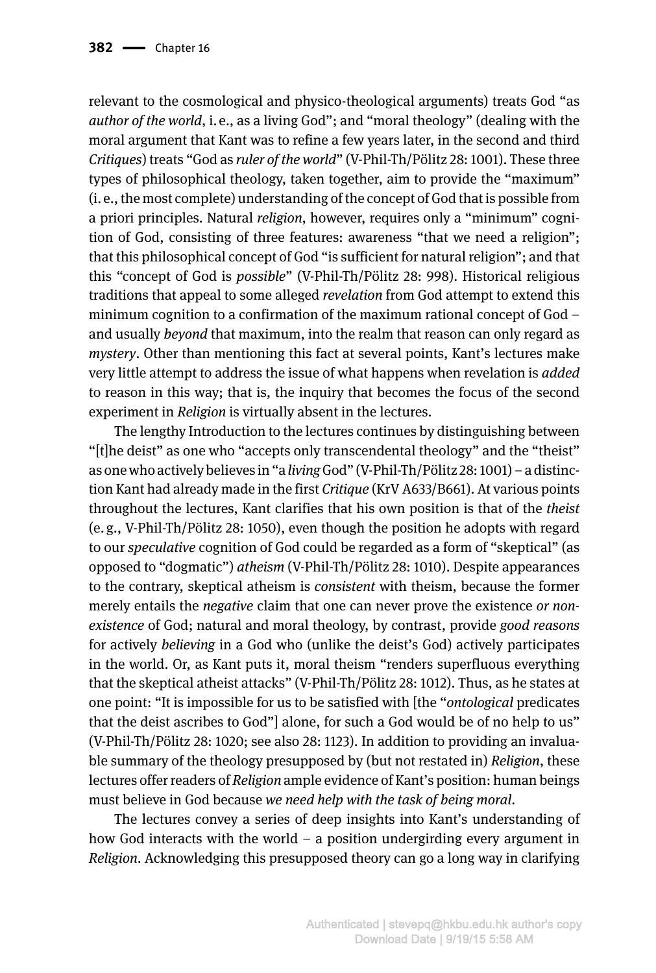relevant to the cosmological and physico-theological arguments) treats God "as *author of the world*, i. e., as a living God"; and "moral theology" (dealing with the moral argument that Kant was to refine a few years later, in the second and third *Critiques*) treats "God as *ruler of the world*" (V-Phil-Th/Pölitz 28: 1001). These three types of philosophical theology, taken together, aim to provide the "maximum" (i. e., the most complete) understanding of the concept of God that is possible from a priori principles. Natural *religion*, however, requires only a "minimum" cognition of God, consisting of three features: awareness "that we need a religion"; that this philosophical concept of God "is sufficient for natural religion"; and that this "concept of God is *possible*" (V-Phil-Th/Pölitz 28: 998). Historical religious traditions that appeal to some alleged *revelation* from God attempt to extend this minimum cognition to a confirmation of the maximum rational concept of God – and usually *beyond* that maximum, into the realm that reason can only regard as *mystery*. Other than mentioning this fact at several points, Kant's lectures make very little attempt to address the issue of what happens when revelation is *added*  to reason in this way; that is, the inquiry that becomes the focus of the second experiment in *Religion* is virtually absent in the lectures.

The lengthy Introduction to the lectures continues by distinguishing between "[t]he deist" as one who "accepts only transcendental theology" and the "theist" as one who actively believes in "a *living* God" (V-Phil-Th/Pölitz 28: 1001) – a distinction Kant had already made in the first *Critique* (KrV A633/B661). At various points throughout the lectures, Kant clarifies that his own position is that of the *theist*  (e. g., V-Phil-Th/Pölitz 28: 1050), even though the position he adopts with regard to our *speculative* cognition of God could be regarded as a form of "skeptical" (as opposed to "dogmatic") *atheism* (V-Phil-Th/Pölitz 28: 1010). Despite appearances to the contrary, skeptical atheism is *consistent* with theism, because the former merely entails the *negative* claim that one can never prove the existence *or nonexistence* of God; natural and moral theology, by contrast, provide *good reasons*  for actively *believing* in a God who (unlike the deist's God) actively participates in the world. Or, as Kant puts it, moral theism "renders superfluous everything that the skeptical atheist attacks" (V-Phil-Th/Pölitz 28: 1012). Thus, as he states at one point: "It is impossible for us to be satisfied with [the "*ontological* predicates that the deist ascribes to God"] alone, for such a God would be of no help to us" (V-Phil-Th/Pölitz 28: 1020; see also 28: 1123). In addition to providing an invaluable summary of the theology presupposed by (but not restated in) *Religion*, these lectures offer readers of *Religion* ample evidence of Kant's position: human beings must believe in God because *we need help with the task of being moral*.

The lectures convey a series of deep insights into Kant's understanding of how God interacts with the world – a position undergirding every argument in *Religion*. Acknowledging this presupposed theory can go a long way in clarifying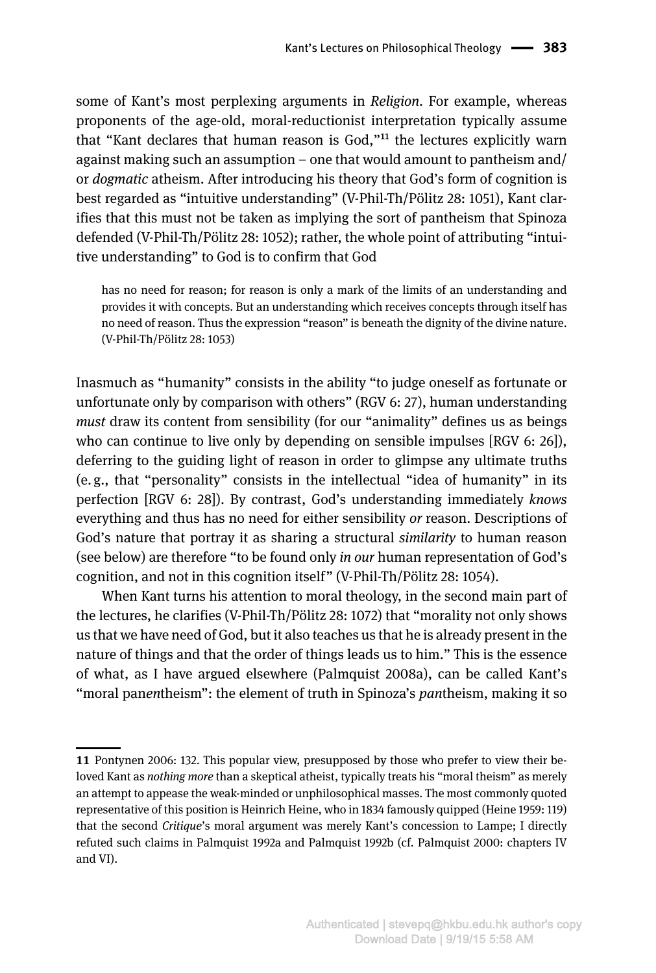some of Kant's most perplexing arguments in *Religion*. For example, whereas proponents of the age-old, moral-reductionist interpretation typically assume that "Kant declares that human reason is God,"<sup>11</sup> the lectures explicitly warn against making such an assumption – one that would amount to pantheism and/ or *dogmatic* atheism. After introducing his theory that God's form of cognition is best regarded as "intuitive understanding" (V-Phil-Th/Pölitz 28: 1051), Kant clarifies that this must not be taken as implying the sort of pantheism that Spinoza defended (V-Phil-Th/Pölitz 28: 1052); rather, the whole point of attributing "intuitive understanding" to God is to confirm that God

has no need for reason; for reason is only a mark of the limits of an understanding and provides it with concepts. But an understanding which receives concepts through itself has no need of reason. Thus the expression "reason" is beneath the dignity of the divine nature. (V-Phil-Th/Pölitz 28: 1053)

Inasmuch as "humanity" consists in the ability "to judge oneself as fortunate or unfortunate only by comparison with others" (RGV 6: 27), human understanding *must* draw its content from sensibility (for our "animality" defines us as beings who can continue to live only by depending on sensible impulses [RGV 6: 26]), deferring to the guiding light of reason in order to glimpse any ultimate truths (e. g., that "personality" consists in the intellectual "idea of humanity" in its perfection [RGV 6: 28]). By contrast, God's understanding immediately *knows*  everything and thus has no need for either sensibility *or* reason. Descriptions of God's nature that portray it as sharing a structural *similarity* to human reason (see below) are therefore "to be found only *in our* human representation of God's cognition, and not in this cognition itself" (V-Phil-Th/Pölitz 28: 1054).

When Kant turns his attention to moral theology, in the second main part of the lectures, he clarifies (V-Phil-Th/Pölitz 28: 1072) that "morality not only shows us that we have need of God, but it also teaches us that he is already present in the nature of things and that the order of things leads us to him." This is the essence of what, as I have argued elsewhere (Palmquist 2008a), can be called Kant's "moral pan*en*theism": the element of truth in Spinoza's *pan*theism, making it so

**<sup>11</sup>** Pontynen 2006: 132. This popular view, presupposed by those who prefer to view their beloved Kant as *nothing more* than a skeptical atheist, typically treats his "moral theism" as merely an attempt to appease the weak-minded or unphilosophical masses. The most commonly quoted representative of this position is Heinrich Heine, who in 1834 famously quipped (Heine 1959: 119) that the second *Critique*'s moral argument was merely Kant's concession to Lampe; I directly refuted such claims in Palmquist 1992a and Palmquist 1992b (cf. Palmquist 2000: chapters IV and VI).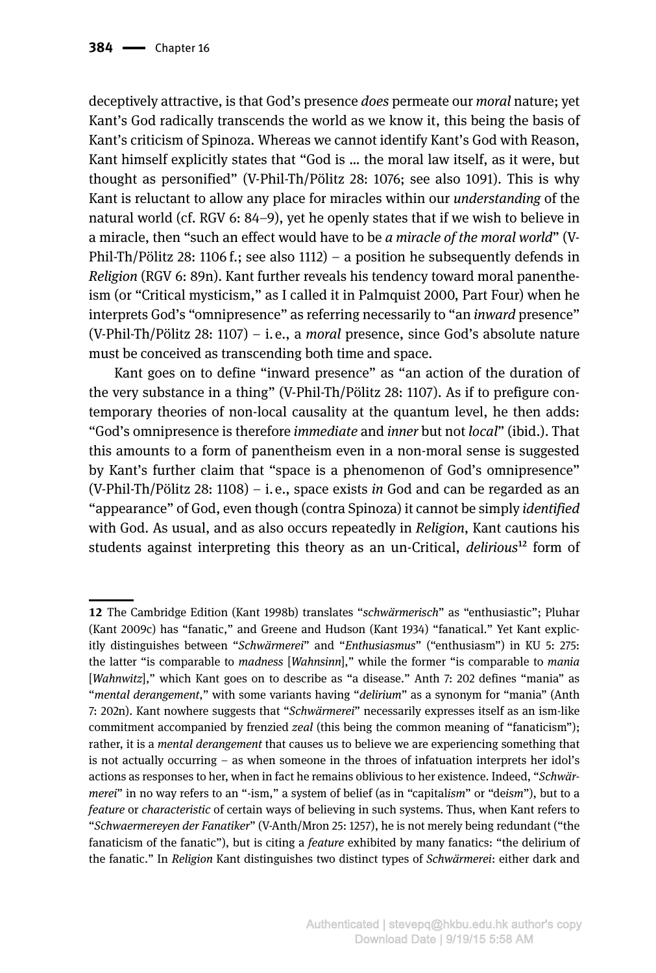deceptively attractive, is that God's presence *does* permeate our *moral* nature; yet Kant's God radically transcends the world as we know it, this being the basis of Kant's criticism of Spinoza. Whereas we cannot identify Kant's God with Reason, Kant himself explicitly states that "God is … the moral law itself, as it were, but thought as personified" (V-Phil-Th/Pölitz 28: 1076; see also 1091). This is why Kant is reluctant to allow any place for miracles within our *understanding* of the natural world (cf. RGV 6: 84–9), yet he openly states that if we wish to believe in a miracle, then "such an effect would have to be *a miracle of the moral world*" (V-Phil-Th/Pölitz 28: 1106 f.; see also 1112) – a position he subsequently defends in *Religion* (RGV 6: 89n). Kant further reveals his tendency toward moral panentheism (or "Critical mysticism," as I called it in Palmquist 2000, Part Four) when he interprets God's "omnipresence" as referring necessarily to "an *inward* presence" (V-Phil-Th/Pölitz 28: 1107) – i. e., a *moral* presence, since God's absolute nature must be conceived as transcending both time and space.

Kant goes on to define "inward presence" as "an action of the duration of the very substance in a thing" (V-Phil-Th/Pölitz 28: 1107). As if to prefigure contemporary theories of non-local causality at the quantum level, he then adds: "God's omnipresence is therefore *immediate* and *inner* but not *local*" (ibid.). That this amounts to a form of panentheism even in a non-moral sense is suggested by Kant's further claim that "space is a phenomenon of God's omnipresence" (V-Phil-Th/Pölitz 28: 1108) – i. e., space exists *in* God and can be regarded as an "appearance" of God, even though (contra Spinoza) it cannot be simply *identified*  with God. As usual, and as also occurs repeatedly in *Religion*, Kant cautions his students against interpreting this theory as an un-Critical, *delirious*12 form of

**<sup>12</sup>** The Cambridge Edition (Kant 1998b) translates "*schwärmerisch*" as "enthusiastic"; Pluhar (Kant 2009c) has "fanatic," and Greene and Hudson (Kant 1934) "fanatical." Yet Kant explicitly distinguishes between "*Schwärmerei*" and "*Enthusiasmus*" ("enthusiasm") in KU 5: 275: the latter "is comparable to *madness* [*Wahnsinn*]," while the former "is comparable to *mania*  [*Wahnwitz*]," which Kant goes on to describe as "a disease." Anth 7: 202 defines "mania" as "*mental derangement*," with some variants having "*delirium*" as a synonym for "mania" (Anth 7: 202n). Kant nowhere suggests that "*Schwärmerei*" necessarily expresses itself as an ism-like commitment accompanied by frenzied *zeal* (this being the common meaning of "fanaticism"); rather, it is a *mental derangement* that causes us to believe we are experiencing something that is not actually occurring – as when someone in the throes of infatuation interprets her idol's actions as responses to her, when in fact he remains oblivious to her existence. Indeed, "*Schwärmerei*" in no way refers to an "-ism," a system of belief (as in "capital*ism*" or "de*ism*"), but to a *feature* or *characteristic* of certain ways of believing in such systems. Thus, when Kant refers to "*Schwaermereyen der Fanatiker*" (V-Anth/Mron 25: 1257), he is not merely being redundant ("the fanaticism of the fanatic"), but is citing a *feature* exhibited by many fanatics: "the delirium of the fanatic." In *Religion* Kant distinguishes two distinct types of *Schwärmerei*: either dark and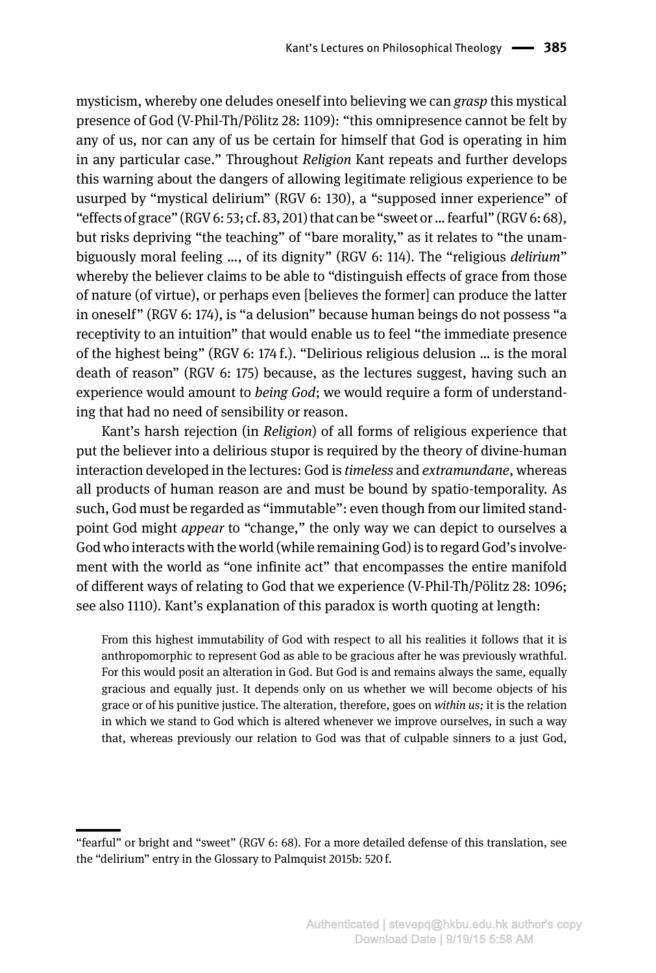mysticism, whereby one deludes oneself into believing we can *grasp* this mystical presence of God (V-Phil-Th/Pölitz 28: 1109): "this omnipresence cannot be felt by any of us, nor can any of us be certain for himself that God is operating in him in any particular case." Throughout *Religion* Kant repeats and further develops this warning about the dangers of allowing legitimate religious experience to be usurped by "mystical delirium" (RGV 6: 130), a "supposed inner experience" of "effects of grace" (RGV 6: 53; cf. 83, 201) that can be "sweet or … fearful" (RGV 6: 68), but risks depriving "the teaching" of "bare morality," as it relates to "the unambiguously moral feeling …, of its dignity" (RGV 6: 114). The "religious *delirium*" whereby the believer claims to be able to "distinguish effects of grace from those of nature (of virtue), or perhaps even [believes the former] can produce the latter in oneself" (RGV 6: 174), is "a delusion" because human beings do not possess "a receptivity to an intuition" that would enable us to feel "the immediate presence of the highest being" (RGV 6: 174 f.). "Delirious religious delusion … is the moral death of reason" (RGV 6: 175) because, as the lectures suggest, having such an experience would amount to *being God*; we would require a form of understanding that had no need of sensibility or reason.

Kant's harsh rejection (in *Religion*) of all forms of religious experience that put the believer into a delirious stupor is required by the theory of divine-human interaction developed in the lectures: God is *timeless* and *extramundane*, whereas all products of human reason are and must be bound by spatio-temporality. As such, God must be regarded as "immutable": even though from our limited standpoint God might *appear* to "change," the only way we can depict to ourselves a God who interacts with the world (while remaining God) is to regard God's involvement with the world as "one infinite act" that encompasses the entire manifold of different ways of relating to God that we experience (V-Phil-Th/Pölitz 28: 1096; see also 1110). Kant's explanation of this paradox is worth quoting at length:

From this highest immutability of God with respect to all his realities it follows that it is anthropomorphic to represent God as able to be gracious after he was previously wrathful. For this would posit an alteration in God. But God is and remains always the same, equally gracious and equally just. It depends only on us whether we will become objects of his grace or of his punitive justice. The alteration, therefore, goes on *within us;* it is the relation in which we stand to God which is altered whenever we improve ourselves, in such a way that, whereas previously our relation to God was that of culpable sinners to a just God,

<sup>&</sup>quot;fearful" or bright and "sweet" (RGV 6: 68). For a more detailed defense of this translation, see the "delirium" entry in the Glossary to Palmquist 2015b: 520 f.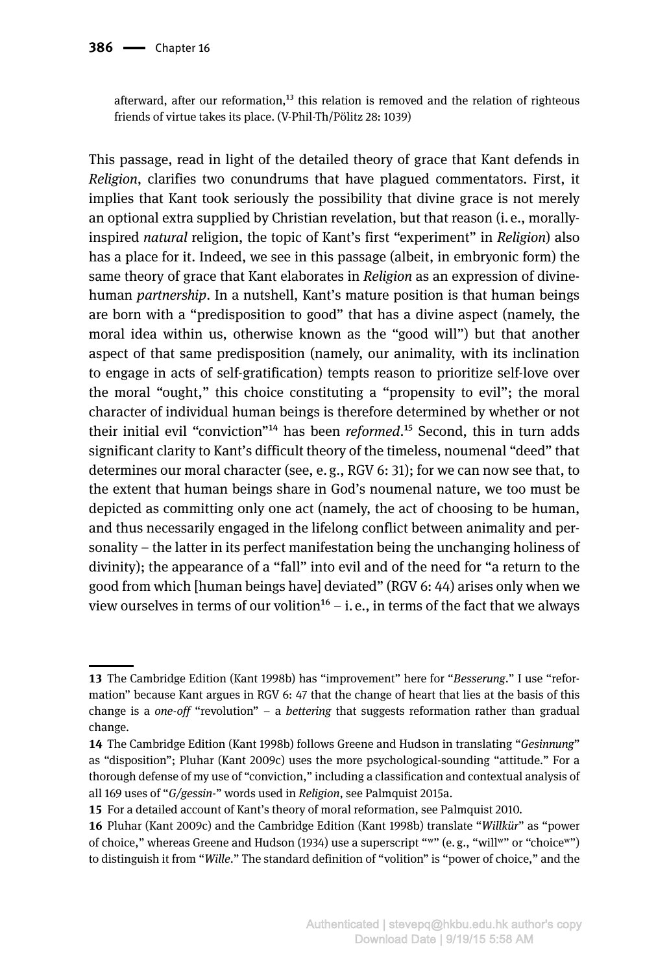afterward, after our reformation, $13$  this relation is removed and the relation of righteous friends of virtue takes its place. (V-Phil-Th/Pölitz 28: 1039)

This passage, read in light of the detailed theory of grace that Kant defends in *Religion*, clarifies two conundrums that have plagued commentators. First, it implies that Kant took seriously the possibility that divine grace is not merely an optional extra supplied by Christian revelation, but that reason (i.e., morallyinspired *natural* religion, the topic of Kant's first "experiment" in *Religion*) also has a place for it. Indeed, we see in this passage (albeit, in embryonic form) the same theory of grace that Kant elaborates in *Religion* as an expression of divinehuman *partnership*. In a nutshell, Kant's mature position is that human beings are born with a "predisposition to good" that has a divine aspect (namely, the moral idea within us, otherwise known as the "good will") but that another aspect of that same predisposition (namely, our animality, with its inclination to engage in acts of self-gratification) tempts reason to prioritize self-love over the moral "ought," this choice constituting a "propensity to evil"; the moral character of individual human beings is therefore determined by whether or not their initial evil "conviction"14 has been *reformed*.15 Second, this in turn adds significant clarity to Kant's difficult theory of the timeless, noumenal "deed" that determines our moral character (see, e.g., RGV 6: 31); for we can now see that, to the extent that human beings share in God's noumenal nature, we too must be depicted as committing only one act (namely, the act of choosing to be human, and thus necessarily engaged in the lifelong conflict between animality and personality – the latter in its perfect manifestation being the unchanging holiness of divinity); the appearance of a "fall" into evil and of the need for "a return to the good from which [human beings have] deviated" (RGV 6: 44) arises only when we view ourselves in terms of our volition<sup>16</sup> – i. e., in terms of the fact that we always

**<sup>13</sup>** The Cambridge Edition (Kant 1998b) has "improvement" here for "*Besserung*." I use "reformation" because Kant argues in RGV 6: 47 that the change of heart that lies at the basis of this change is a *one-off* "revolution" – a *bettering* that suggests reformation rather than gradual change.

**<sup>14</sup>** The Cambridge Edition (Kant 1998b) follows Greene and Hudson in translating "*Gesinnung*" as "disposition"; Pluhar (Kant 2009c) uses the more psychological-sounding "attitude." For a thorough defense of my use of "conviction," including a classification and contextual analysis of all 169 uses of "*G/gessin-*" words used in *Religion*, see Palmquist 2015a.

**<sup>15</sup>** For a detailed account of Kant's theory of moral reformation, see Palmquist 2010.

**<sup>16</sup>** Pluhar (Kant 2009c) and the Cambridge Edition (Kant 1998b) translate "*Willkür*" as "power of choice," whereas Greene and Hudson (1934) use a superscript "w" (e.g., "will"" or "choice"") to distinguish it from "*Wille*." The standard definition of "volition" is "power of choice," and the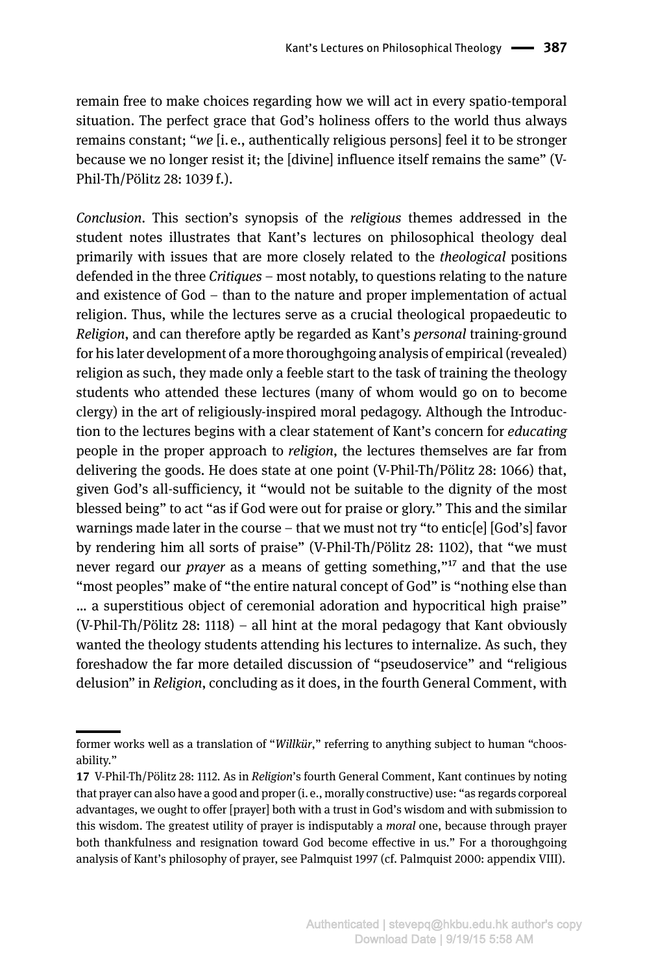remain free to make choices regarding how we will act in every spatio-temporal situation. The perfect grace that God's holiness offers to the world thus always remains constant; "*we* [i. e., authentically religious persons] feel it to be stronger because we no longer resist it; the [divine] influence itself remains the same" (V-Phil-Th/Pölitz 28: 1039 f.).

*Conclusion*. This section's synopsis of the *religious* themes addressed in the student notes illustrates that Kant's lectures on philosophical theology deal primarily with issues that are more closely related to the *theological* positions defended in the three *Critiques* – most notably, to questions relating to the nature and existence of God – than to the nature and proper implementation of actual religion. Thus, while the lectures serve as a crucial theological propaedeutic to *Religion*, and can therefore aptly be regarded as Kant's *personal* training-ground for his later development of a more thoroughgoing analysis of empirical (revealed) religion as such, they made only a feeble start to the task of training the theology students who attended these lectures (many of whom would go on to become clergy) in the art of religiously-inspired moral pedagogy. Although the Introduction to the lectures begins with a clear statement of Kant's concern for *educating*  people in the proper approach to *religion*, the lectures themselves are far from delivering the goods. He does state at one point (V-Phil-Th/Pölitz 28: 1066) that, given God's all-sufficiency, it "would not be suitable to the dignity of the most blessed being" to act "as if God were out for praise or glory." This and the similar warnings made later in the course – that we must not try "to entic[e] [God's] favor by rendering him all sorts of praise" (V-Phil-Th/Pölitz 28: 1102), that "we must never regard our *prayer* as a means of getting something,"17 and that the use "most peoples" make of "the entire natural concept of God" is "nothing else than … a superstitious object of ceremonial adoration and hypocritical high praise" (V-Phil-Th/Pölitz 28: 1118) – all hint at the moral pedagogy that Kant obviously wanted the theology students attending his lectures to internalize. As such, they foreshadow the far more detailed discussion of "pseudoservice" and "religious delusion" in *Religion*, concluding as it does, in the fourth General Comment, with

former works well as a translation of "*Willkür*," referring to anything subject to human "choosability."

**<sup>17</sup>** V-Phil-Th/Pölitz 28: 1112. As in *Religion*'s fourth General Comment, Kant continues by noting that prayer can also have a good and proper (i.e., morally constructive) use: "as regards corporeal advantages, we ought to offer [prayer] both with a trust in God's wisdom and with submission to this wisdom. The greatest utility of prayer is indisputably a *moral* one, because through prayer both thankfulness and resignation toward God become effective in us." For a thoroughgoing analysis of Kant's philosophy of prayer, see Palmquist 1997 (cf. Palmquist 2000: appendix VIII).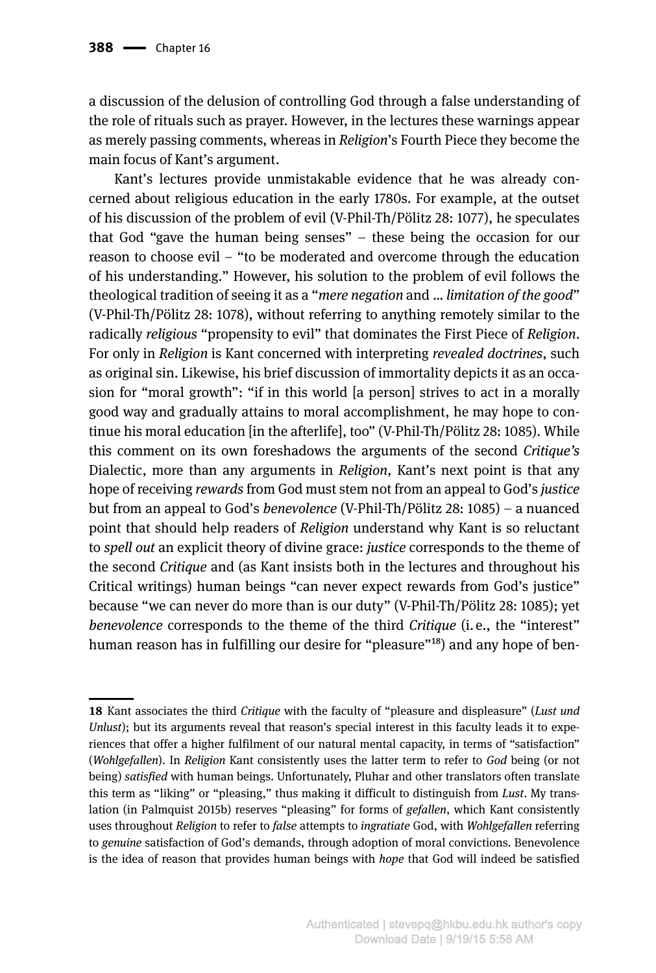a discussion of the delusion of controlling God through a false understanding of the role of rituals such as prayer. However, in the lectures these warnings appear as merely passing comments, whereas in *Religion*'s Fourth Piece they become the main focus of Kant's argument.

Kant's lectures provide unmistakable evidence that he was already concerned about religious education in the early 1780s. For example, at the outset of his discussion of the problem of evil (V-Phil-Th/Pölitz 28: 1077), he speculates that God "gave the human being senses" – these being the occasion for our reason to choose evil – "to be moderated and overcome through the education of his understanding." However, his solution to the problem of evil follows the theological tradition of seeing it as a "*mere negation* and … *limitation of the good*" (V-Phil-Th/Pölitz 28: 1078), without referring to anything remotely similar to the radically *religious* "propensity to evil" that dominates the First Piece of *Religion*. For only in *Religion* is Kant concerned with interpreting *revealed doctrines*, such as original sin. Likewise, his brief discussion of immortality depicts it as an occasion for "moral growth": "if in this world [a person] strives to act in a morally good way and gradually attains to moral accomplishment, he may hope to continue his moral education [in the afterlife], too" (V-Phil-Th/Pölitz 28: 1085). While this comment on its own foreshadows the arguments of the second *Critique's*  Dialectic, more than any arguments in *Religion*, Kant's next point is that any hope of receiving *rewards* from God must stem not from an appeal to God's *justice*  but from an appeal to God's *benevolence* (V-Phil-Th/Pölitz 28: 1085) – a nuanced point that should help readers of *Religion* understand why Kant is so reluctant to *spell out* an explicit theory of divine grace: *justice* corresponds to the theme of the second *Critique* and (as Kant insists both in the lectures and throughout his Critical writings) human beings "can never expect rewards from God's justice" because "we can never do more than is our duty" (V-Phil-Th/Pölitz 28: 1085); yet *benevolence* corresponds to the theme of the third *Critique* (i.e., the "interest" human reason has in fulfilling our desire for "pleasure"<sup>18</sup>) and any hope of ben-

**<sup>18</sup>** Kant associates the third *Critique* with the faculty of "pleasure and displeasure" (*Lust und Unlust*); but its arguments reveal that reason's special interest in this faculty leads it to experiences that offer a higher fulfilment of our natural mental capacity, in terms of "satisfaction" (*Wohlgefallen*). In *Religion* Kant consistently uses the latter term to refer to *God* being (or not being) *satisfied* with human beings. Unfortunately, Pluhar and other translators often translate this term as "liking" or "pleasing," thus making it difficult to distinguish from *Lust*. My translation (in Palmquist 2015b) reserves "pleasing" for forms of *gefallen*, which Kant consistently uses throughout *Religion* to refer to *false* attempts to *ingratiate* God, with *Wohlgefallen* referring to *genuine* satisfaction of God's demands, through adoption of moral convictions. Benevolence is the idea of reason that provides human beings with *hope* that God will indeed be satisfied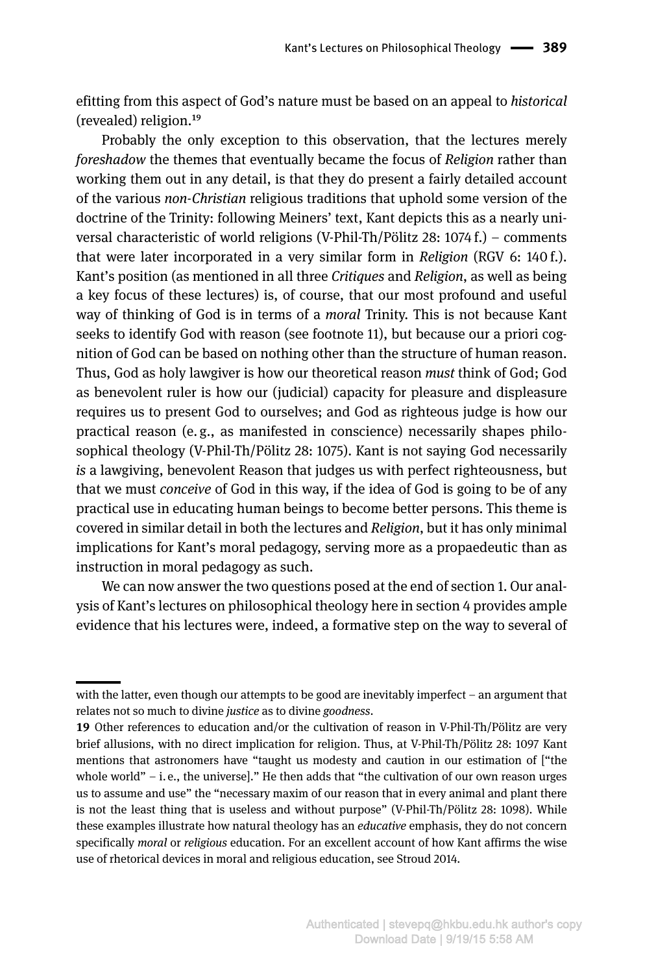efitting from this aspect of God's nature must be based on an appeal to *historical*  (revealed) religion.19

Probably the only exception to this observation, that the lectures merely *foreshadow* the themes that eventually became the focus of *Religion* rather than working them out in any detail, is that they do present a fairly detailed account of the various *non-Christian* religious traditions that uphold some version of the doctrine of the Trinity: following Meiners' text, Kant depicts this as a nearly universal characteristic of world religions (V-Phil-Th/Pölitz 28: 1074 f.) – comments that were later incorporated in a very similar form in *Religion* (RGV 6: 140 f.). Kant's position (as mentioned in all three *Critiques* and *Religion*, as well as being a key focus of these lectures) is, of course, that our most profound and useful way of thinking of God is in terms of a *moral* Trinity. This is not because Kant seeks to identify God with reason (see footnote 11), but because our a priori cognition of God can be based on nothing other than the structure of human reason. Thus, God as holy lawgiver is how our theoretical reason *must* think of God; God as benevolent ruler is how our (judicial) capacity for pleasure and displeasure requires us to present God to ourselves; and God as righteous judge is how our practical reason (e. g., as manifested in conscience) necessarily shapes philosophical theology (V-Phil-Th/Pölitz 28: 1075). Kant is not saying God necessarily *is* a lawgiving, benevolent Reason that judges us with perfect righteousness, but that we must *conceive* of God in this way, if the idea of God is going to be of any practical use in educating human beings to become better persons. This theme is covered in similar detail in both the lectures and *Religion*, but it has only minimal implications for Kant's moral pedagogy, serving more as a propaedeutic than as instruction in moral pedagogy as such.

We can now answer the two questions posed at the end of section 1. Our analysis of Kant's lectures on philosophical theology here in section 4 provides ample evidence that his lectures were, indeed, a formative step on the way to several of

with the latter, even though our attempts to be good are inevitably imperfect – an argument that relates not so much to divine *justice* as to divine *goodness*.

**<sup>19</sup>** Other references to education and/or the cultivation of reason in V-Phil-Th/Pölitz are very brief allusions, with no direct implication for religion. Thus, at V-Phil-Th/Pölitz 28: 1097 Kant mentions that astronomers have "taught us modesty and caution in our estimation of ["the whole world"  $-$  i.e., the universel." He then adds that "the cultivation of our own reason urges us to assume and use" the "necessary maxim of our reason that in every animal and plant there is not the least thing that is useless and without purpose" (V-Phil-Th/Pölitz 28: 1098). While these examples illustrate how natural theology has an *educative* emphasis, they do not concern specifically *moral* or *religious* education. For an excellent account of how Kant affirms the wise use of rhetorical devices in moral and religious education, see Stroud 2014.